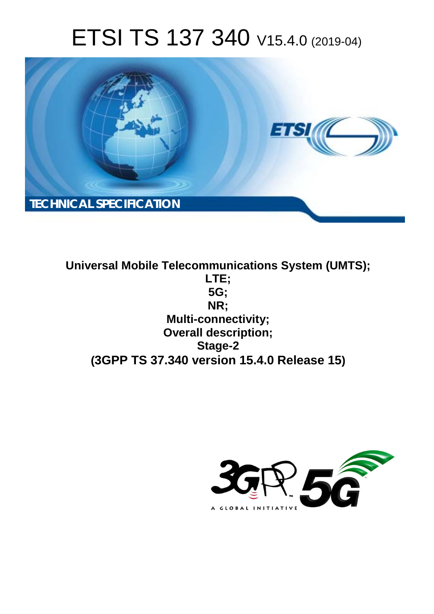# ETSI TS 137 340 V15.4.0 (2019-04)



**Universal Mobile Telecommunications System (UMTS); LTE; 5G; NR; Multi-connectivity; Overall description; Stage-2 (3GPP TS 37.340 version 15.4.0 Release 15)**

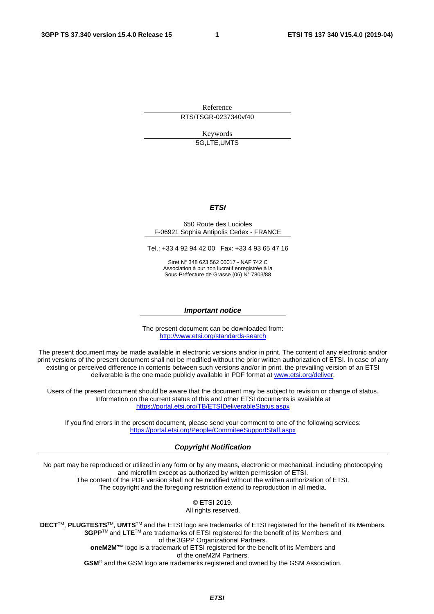Reference RTS/TSGR-0237340vf40

Keywords

5G,LTE,UMTS

#### *ETSI*

#### 650 Route des Lucioles F-06921 Sophia Antipolis Cedex - FRANCE

Tel.: +33 4 92 94 42 00 Fax: +33 4 93 65 47 16

Siret N° 348 623 562 00017 - NAF 742 C Association à but non lucratif enregistrée à la Sous-Préfecture de Grasse (06) N° 7803/88

#### *Important notice*

The present document can be downloaded from: <http://www.etsi.org/standards-search>

The present document may be made available in electronic versions and/or in print. The content of any electronic and/or print versions of the present document shall not be modified without the prior written authorization of ETSI. In case of any existing or perceived difference in contents between such versions and/or in print, the prevailing version of an ETSI deliverable is the one made publicly available in PDF format at [www.etsi.org/deliver](http://www.etsi.org/deliver).

Users of the present document should be aware that the document may be subject to revision or change of status. Information on the current status of this and other ETSI documents is available at <https://portal.etsi.org/TB/ETSIDeliverableStatus.aspx>

If you find errors in the present document, please send your comment to one of the following services: <https://portal.etsi.org/People/CommiteeSupportStaff.aspx>

#### *Copyright Notification*

No part may be reproduced or utilized in any form or by any means, electronic or mechanical, including photocopying and microfilm except as authorized by written permission of ETSI. The content of the PDF version shall not be modified without the written authorization of ETSI. The copyright and the foregoing restriction extend to reproduction in all media.

> © ETSI 2019. All rights reserved.

**DECT**TM, **PLUGTESTS**TM, **UMTS**TM and the ETSI logo are trademarks of ETSI registered for the benefit of its Members. **3GPP**TM and **LTE**TM are trademarks of ETSI registered for the benefit of its Members and of the 3GPP Organizational Partners. **oneM2M™** logo is a trademark of ETSI registered for the benefit of its Members and of the oneM2M Partners. **GSM**® and the GSM logo are trademarks registered and owned by the GSM Association.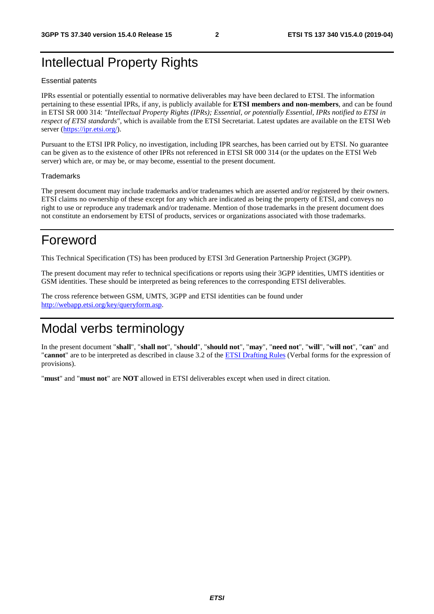# Intellectual Property Rights

#### Essential patents

IPRs essential or potentially essential to normative deliverables may have been declared to ETSI. The information pertaining to these essential IPRs, if any, is publicly available for **ETSI members and non-members**, and can be found in ETSI SR 000 314: *"Intellectual Property Rights (IPRs); Essential, or potentially Essential, IPRs notified to ETSI in respect of ETSI standards"*, which is available from the ETSI Secretariat. Latest updates are available on the ETSI Web server ([https://ipr.etsi.org/\)](https://ipr.etsi.org/).

Pursuant to the ETSI IPR Policy, no investigation, including IPR searches, has been carried out by ETSI. No guarantee can be given as to the existence of other IPRs not referenced in ETSI SR 000 314 (or the updates on the ETSI Web server) which are, or may be, or may become, essential to the present document.

#### **Trademarks**

The present document may include trademarks and/or tradenames which are asserted and/or registered by their owners. ETSI claims no ownership of these except for any which are indicated as being the property of ETSI, and conveys no right to use or reproduce any trademark and/or tradename. Mention of those trademarks in the present document does not constitute an endorsement by ETSI of products, services or organizations associated with those trademarks.

# Foreword

This Technical Specification (TS) has been produced by ETSI 3rd Generation Partnership Project (3GPP).

The present document may refer to technical specifications or reports using their 3GPP identities, UMTS identities or GSM identities. These should be interpreted as being references to the corresponding ETSI deliverables.

The cross reference between GSM, UMTS, 3GPP and ETSI identities can be found under [http://webapp.etsi.org/key/queryform.asp.](http://webapp.etsi.org/key/queryform.asp)

# Modal verbs terminology

In the present document "**shall**", "**shall not**", "**should**", "**should not**", "**may**", "**need not**", "**will**", "**will not**", "**can**" and "**cannot**" are to be interpreted as described in clause 3.2 of the [ETSI Drafting Rules](https://portal.etsi.org/Services/editHelp!/Howtostart/ETSIDraftingRules.aspx) (Verbal forms for the expression of provisions).

"**must**" and "**must not**" are **NOT** allowed in ETSI deliverables except when used in direct citation.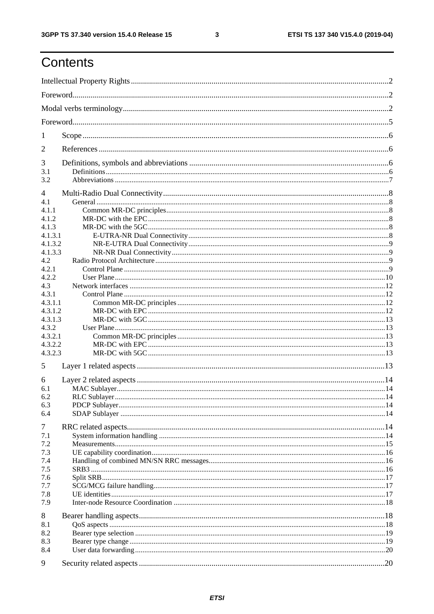ETSI TS 137 340 V15.4.0 (2019-04)

# Contents

| 1              |  |  |  |  |  |  |  |
|----------------|--|--|--|--|--|--|--|
| 2              |  |  |  |  |  |  |  |
| 3              |  |  |  |  |  |  |  |
| 3.1<br>3.2     |  |  |  |  |  |  |  |
|                |  |  |  |  |  |  |  |
| $\overline{4}$ |  |  |  |  |  |  |  |
| 4.1            |  |  |  |  |  |  |  |
| 4.1.1<br>4.1.2 |  |  |  |  |  |  |  |
| 4.1.3          |  |  |  |  |  |  |  |
| 4.1.3.1        |  |  |  |  |  |  |  |
| 4.1.3.2        |  |  |  |  |  |  |  |
| 4.1.3.3        |  |  |  |  |  |  |  |
| 4.2            |  |  |  |  |  |  |  |
| 4.2.1          |  |  |  |  |  |  |  |
| 4.2.2          |  |  |  |  |  |  |  |
| 4.3            |  |  |  |  |  |  |  |
| 4.3.1          |  |  |  |  |  |  |  |
| 4.3.1.1        |  |  |  |  |  |  |  |
| 4.3.1.2        |  |  |  |  |  |  |  |
| 4.3.1.3        |  |  |  |  |  |  |  |
| 4.3.2          |  |  |  |  |  |  |  |
| 4.3.2.1        |  |  |  |  |  |  |  |
| 4.3.2.2        |  |  |  |  |  |  |  |
| 4.3.2.3        |  |  |  |  |  |  |  |
| 5              |  |  |  |  |  |  |  |
| 6              |  |  |  |  |  |  |  |
| 6.1            |  |  |  |  |  |  |  |
| 6.2            |  |  |  |  |  |  |  |
| 6.3            |  |  |  |  |  |  |  |
| 6.4            |  |  |  |  |  |  |  |
| 7              |  |  |  |  |  |  |  |
| 7.1            |  |  |  |  |  |  |  |
| 7.2            |  |  |  |  |  |  |  |
| 7.3            |  |  |  |  |  |  |  |
| 7.4            |  |  |  |  |  |  |  |
| 7.5            |  |  |  |  |  |  |  |
| 7.6            |  |  |  |  |  |  |  |
| 7.7            |  |  |  |  |  |  |  |
| 7.8            |  |  |  |  |  |  |  |
| 7.9            |  |  |  |  |  |  |  |
| 8              |  |  |  |  |  |  |  |
| 8.1            |  |  |  |  |  |  |  |
| 8.2            |  |  |  |  |  |  |  |
| 8.3            |  |  |  |  |  |  |  |
| 8.4            |  |  |  |  |  |  |  |
| 9              |  |  |  |  |  |  |  |
|                |  |  |  |  |  |  |  |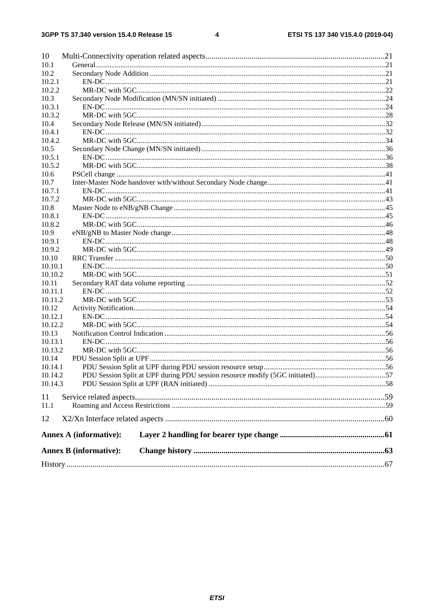#### $\overline{\mathbf{4}}$

| 10      |                                                                               |  |
|---------|-------------------------------------------------------------------------------|--|
| 10.1    |                                                                               |  |
| 10.2    |                                                                               |  |
| 10.2.1  |                                                                               |  |
| 10.2.2  |                                                                               |  |
| 10.3    |                                                                               |  |
| 10.3.1  |                                                                               |  |
| 10.3.2  |                                                                               |  |
| 10.4    |                                                                               |  |
| 10.4.1  |                                                                               |  |
| 10.4.2  |                                                                               |  |
| 10.5    |                                                                               |  |
| 10.5.1  |                                                                               |  |
| 10.5.2  |                                                                               |  |
| 10.6    |                                                                               |  |
| 10.7    |                                                                               |  |
| 10.7.1  |                                                                               |  |
| 10.7.2  |                                                                               |  |
| 10.8    |                                                                               |  |
| 10.8.1  |                                                                               |  |
| 10.8.2  |                                                                               |  |
| 10.9    |                                                                               |  |
| 10.9.1  |                                                                               |  |
| 10.9.2  |                                                                               |  |
| 10.10   |                                                                               |  |
| 10.10.1 |                                                                               |  |
| 10.10.2 |                                                                               |  |
| 10.11   |                                                                               |  |
| 10.11.1 |                                                                               |  |
| 10.11.2 |                                                                               |  |
| 10.12   |                                                                               |  |
| 10.12.1 |                                                                               |  |
| 10.12.2 |                                                                               |  |
| 10.13   |                                                                               |  |
| 10.13.1 |                                                                               |  |
|         |                                                                               |  |
| 10.13.2 |                                                                               |  |
| 10.14   |                                                                               |  |
| 10.14.1 |                                                                               |  |
| 10.14.2 | PDU Session Split at UPF during PDU session resource modify (5GC initiated)57 |  |
| 10.14.3 |                                                                               |  |
| 11      |                                                                               |  |
| 11.1    |                                                                               |  |
| 12      |                                                                               |  |
|         |                                                                               |  |
|         | <b>Annex A (informative):</b>                                                 |  |
|         | <b>Annex B</b> (informative):                                                 |  |
|         |                                                                               |  |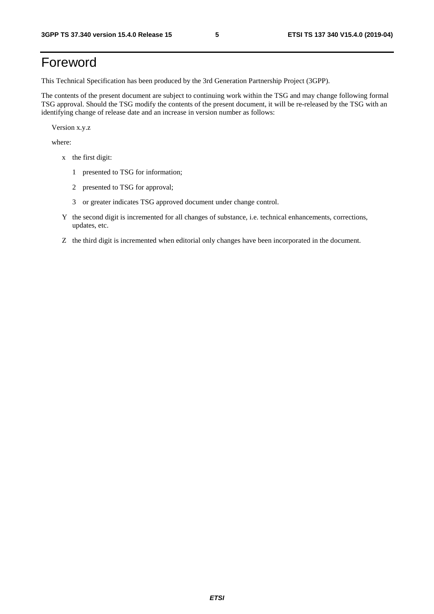# Foreword

This Technical Specification has been produced by the 3rd Generation Partnership Project (3GPP).

The contents of the present document are subject to continuing work within the TSG and may change following formal TSG approval. Should the TSG modify the contents of the present document, it will be re-released by the TSG with an identifying change of release date and an increase in version number as follows:

Version x.y.z

where:

- x the first digit:
	- 1 presented to TSG for information;
	- 2 presented to TSG for approval;
	- 3 or greater indicates TSG approved document under change control.
- Y the second digit is incremented for all changes of substance, i.e. technical enhancements, corrections, updates, etc.
- Z the third digit is incremented when editorial only changes have been incorporated in the document.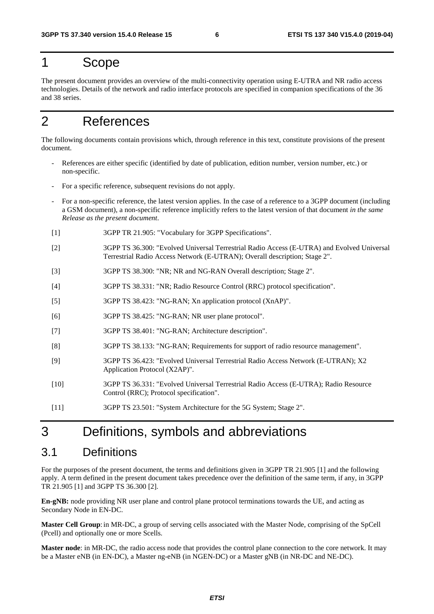# 1 Scope

The present document provides an overview of the multi-connectivity operation using E-UTRA and NR radio access technologies. Details of the network and radio interface protocols are specified in companion specifications of the 36 and 38 series.

# 2 References

The following documents contain provisions which, through reference in this text, constitute provisions of the present document.

- References are either specific (identified by date of publication, edition number, version number, etc.) or non-specific.
- For a specific reference, subsequent revisions do not apply.
- For a non-specific reference, the latest version applies. In the case of a reference to a 3GPP document (including a GSM document), a non-specific reference implicitly refers to the latest version of that document *in the same Release as the present document*.
- [1] 3GPP TR 21.905: "Vocabulary for 3GPP Specifications".
- [2] 3GPP TS 36.300: "Evolved Universal Terrestrial Radio Access (E-UTRA) and Evolved Universal Terrestrial Radio Access Network (E-UTRAN); Overall description; Stage 2".
- [3] 3GPP TS 38.300: "NR; NR and NG-RAN Overall description; Stage 2".
- [4] 3GPP TS 38.331: "NR; Radio Resource Control (RRC) protocol specification".
- [5] 3GPP TS 38.423: "NG-RAN; Xn application protocol (XnAP)".
- [6] 3GPP TS 38.425: "NG-RAN; NR user plane protocol".
- [7] 3GPP TS 38.401: "NG-RAN; Architecture description".
- [8] 3GPP TS 38.133: "NG-RAN; Requirements for support of radio resource management".
- [9] 3GPP TS 36.423: "Evolved Universal Terrestrial Radio Access Network (E-UTRAN); X2 Application Protocol (X2AP)".
- [10] 3GPP TS 36.331: "Evolved Universal Terrestrial Radio Access (E-UTRA); Radio Resource Control (RRC); Protocol specification".
- [11] 3GPP TS 23.501: "System Architecture for the 5G System; Stage 2".

# 3 Definitions, symbols and abbreviations

## 3.1 Definitions

For the purposes of the present document, the terms and definitions given in 3GPP TR 21.905 [1] and the following apply. A term defined in the present document takes precedence over the definition of the same term, if any, in 3GPP TR 21.905 [1] and 3GPP TS 36.300 [2].

**En-gNB:** node providing NR user plane and control plane protocol terminations towards the UE, and acting as Secondary Node in EN-DC.

**Master Cell Group**: in MR-DC, a group of serving cells associated with the Master Node, comprising of the SpCell (Pcell) and optionally one or more Scells.

**Master node**: in MR-DC, the radio access node that provides the control plane connection to the core network. It may be a Master eNB (in EN-DC), a Master ng-eNB (in NGEN-DC) or a Master gNB (in NR-DC and NE-DC).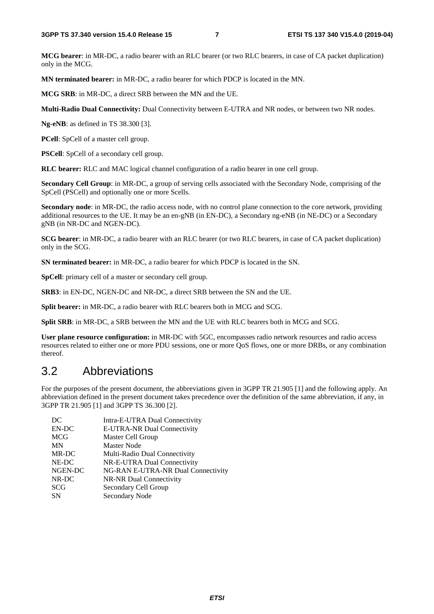**MCG bearer**: in MR-DC, a radio bearer with an RLC bearer (or two RLC bearers, in case of CA packet duplication) only in the MCG.

**MN terminated bearer:** in MR-DC, a radio bearer for which PDCP is located in the MN.

**MCG SRB**: in MR-DC, a direct SRB between the MN and the UE.

**Multi-Radio Dual Connectivity:** Dual Connectivity between E-UTRA and NR nodes, or between two NR nodes.

**Ng-eNB**: as defined in TS 38.300 [3].

**PCell**: SpCell of a master cell group.

**PSCell**: SpCell of a secondary cell group.

**RLC bearer:** RLC and MAC logical channel configuration of a radio bearer in one cell group.

**Secondary Cell Group**: in MR-DC, a group of serving cells associated with the Secondary Node, comprising of the SpCell (PSCell) and optionally one or more Scells.

**Secondary node**: in MR-DC, the radio access node, with no control plane connection to the core network, providing additional resources to the UE. It may be an en-gNB (in EN-DC), a Secondary ng-eNB (in NE-DC) or a Secondary gNB (in NR-DC and NGEN-DC).

**SCG bearer**: in MR-DC, a radio bearer with an RLC bearer (or two RLC bearers, in case of CA packet duplication) only in the SCG.

**SN terminated bearer:** in MR-DC, a radio bearer for which PDCP is located in the SN.

**SpCell**: primary cell of a master or secondary cell group.

**SRB3**: in EN-DC, NGEN-DC and NR-DC, a direct SRB between the SN and the UE.

**Split bearer:** in MR-DC, a radio bearer with RLC bearers both in MCG and SCG.

**Split SRB**: in MR-DC, a SRB between the MN and the UE with RLC bearers both in MCG and SCG.

**User plane resource configuration:** in MR-DC with 5GC, encompasses radio network resources and radio access resources related to either one or more PDU sessions, one or more QoS flows, one or more DRBs, or any combination thereof.

# 3.2 Abbreviations

For the purposes of the present document, the abbreviations given in 3GPP TR 21.905 [1] and the following apply. An abbreviation defined in the present document takes precedence over the definition of the same abbreviation, if any, in 3GPP TR 21.905 [1] and 3GPP TS 36.300 [2].

| DC         | Intra-E-UTRA Dual Connectivity     |
|------------|------------------------------------|
| EN-DC      | E-UTRA-NR Dual Connectivity        |
| <b>MCG</b> | Master Cell Group                  |
| MN         | <b>Master Node</b>                 |
| MR-DC      | Multi-Radio Dual Connectivity      |
| NE-DC      | NR-E-UTRA Dual Connectivity        |
| NGEN-DC    | NG-RAN E-UTRA-NR Dual Connectivity |
| NR-DC      | NR-NR Dual Connectivity            |
| <b>SCG</b> | Secondary Cell Group               |
| <b>SN</b>  | Secondary Node                     |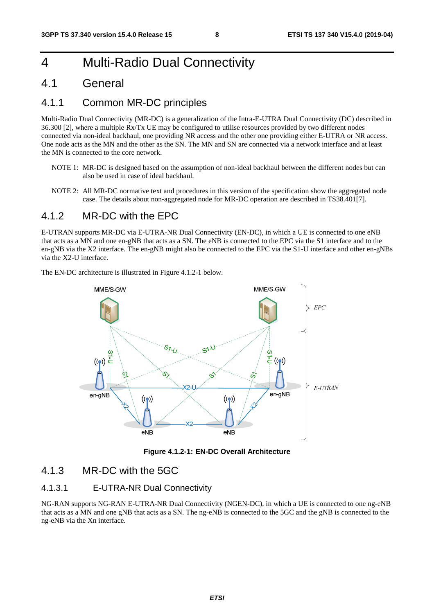# 4 Multi-Radio Dual Connectivity

### 4.1 General

### 4.1.1 Common MR-DC principles

Multi-Radio Dual Connectivity (MR-DC) is a generalization of the Intra-E-UTRA Dual Connectivity (DC) described in 36.300 [2], where a multiple Rx/Tx UE may be configured to utilise resources provided by two different nodes connected via non-ideal backhaul, one providing NR access and the other one providing either E-UTRA or NR access. One node acts as the MN and the other as the SN. The MN and SN are connected via a network interface and at least the MN is connected to the core network.

- NOTE 1: MR-DC is designed based on the assumption of non-ideal backhaul between the different nodes but can also be used in case of ideal backhaul.
- NOTE 2: All MR-DC normative text and procedures in this version of the specification show the aggregated node case. The details about non-aggregated node for MR-DC operation are described in TS38.401[7].

### 4.1.2 MR-DC with the FPC

E-UTRAN supports MR-DC via E-UTRA-NR Dual Connectivity (EN-DC), in which a UE is connected to one eNB that acts as a MN and one en-gNB that acts as a SN. The eNB is connected to the EPC via the S1 interface and to the en-gNB via the X2 interface. The en-gNB might also be connected to the EPC via the S1-U interface and other en-gNBs via the X2-U interface.

> MME/S-GW MME/S-GW EPC Ō. 곧  $((\bullet))$  $\left(\left(\mathbf{\varphi}\right)\right)$ Qj E-UTRAN en-gNB en-gNB  $((\bullet))$  $((\bullet))$  $e$ NB  $e$ NB

The EN-DC architecture is illustrated in Figure 4.1.2-1 below.



### 4.1.3 MR-DC with the 5GC

### 4.1.3.1 E-UTRA-NR Dual Connectivity

NG-RAN supports NG-RAN E-UTRA-NR Dual Connectivity (NGEN-DC), in which a UE is connected to one ng-eNB that acts as a MN and one gNB that acts as a SN. The ng-eNB is connected to the 5GC and the gNB is connected to the ng-eNB via the Xn interface.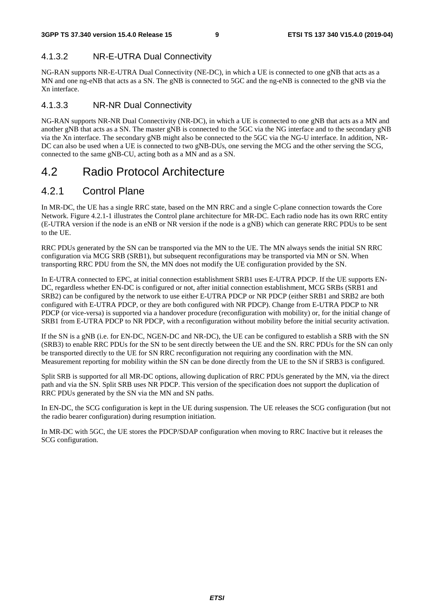### 4.1.3.2 NR-E-UTRA Dual Connectivity

NG-RAN supports NR-E-UTRA Dual Connectivity (NE-DC), in which a UE is connected to one gNB that acts as a MN and one ng-eNB that acts as a SN. The gNB is connected to 5GC and the ng-eNB is connected to the gNB via the Xn interface.

#### 4.1.3.3 NR-NR Dual Connectivity

NG-RAN supports NR-NR Dual Connectivity (NR-DC), in which a UE is connected to one gNB that acts as a MN and another gNB that acts as a SN. The master gNB is connected to the 5GC via the NG interface and to the secondary gNB via the Xn interface. The secondary gNB might also be connected to the 5GC via the NG-U interface. In addition, NR-DC can also be used when a UE is connected to two gNB-DUs, one serving the MCG and the other serving the SCG, connected to the same gNB-CU, acting both as a MN and as a SN.

# 4.2 Radio Protocol Architecture

### 4.2.1 Control Plane

In MR-DC, the UE has a single RRC state, based on the MN RRC and a single C-plane connection towards the Core Network. Figure 4.2.1-1 illustrates the Control plane architecture for MR-DC. Each radio node has its own RRC entity (E-UTRA version if the node is an eNB or NR version if the node is a gNB) which can generate RRC PDUs to be sent to the UE.

RRC PDUs generated by the SN can be transported via the MN to the UE. The MN always sends the initial SN RRC configuration via MCG SRB (SRB1), but subsequent reconfigurations may be transported via MN or SN. When transporting RRC PDU from the SN, the MN does not modify the UE configuration provided by the SN.

In E-UTRA connected to EPC, at initial connection establishment SRB1 uses E-UTRA PDCP. If the UE supports EN-DC, regardless whether EN-DC is configured or not, after initial connection establishment, MCG SRBs (SRB1 and SRB2) can be configured by the network to use either E-UTRA PDCP or NR PDCP (either SRB1 and SRB2 are both configured with E-UTRA PDCP, or they are both configured with NR PDCP). Change from E-UTRA PDCP to NR PDCP (or vice-versa) is supported via a handover procedure (reconfiguration with mobility) or, for the initial change of SRB1 from E-UTRA PDCP to NR PDCP, with a reconfiguration without mobility before the initial security activation.

If the SN is a gNB (i.e. for EN-DC, NGEN-DC and NR-DC), the UE can be configured to establish a SRB with the SN (SRB3) to enable RRC PDUs for the SN to be sent directly between the UE and the SN. RRC PDUs for the SN can only be transported directly to the UE for SN RRC reconfiguration not requiring any coordination with the MN. Measurement reporting for mobility within the SN can be done directly from the UE to the SN if SRB3 is configured.

Split SRB is supported for all MR-DC options, allowing duplication of RRC PDUs generated by the MN, via the direct path and via the SN. Split SRB uses NR PDCP. This version of the specification does not support the duplication of RRC PDUs generated by the SN via the MN and SN paths.

In EN-DC, the SCG configuration is kept in the UE during suspension. The UE releases the SCG configuration (but not the radio bearer configuration) during resumption initiation.

In MR-DC with 5GC, the UE stores the PDCP/SDAP configuration when moving to RRC Inactive but it releases the SCG configuration.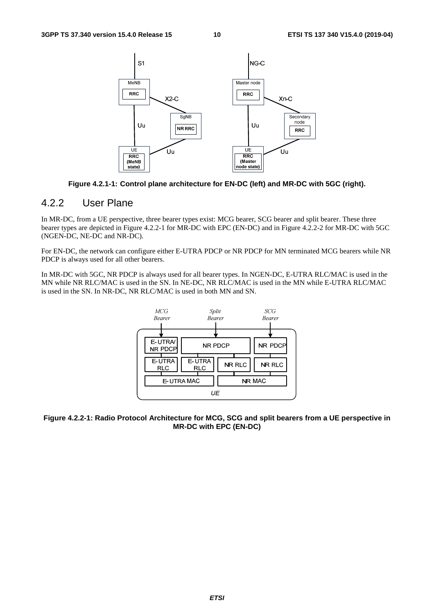

**Figure 4.2.1-1: Control plane architecture for EN-DC (left) and MR-DC with 5GC (right).** 

### 4.2.2 User Plane

In MR-DC, from a UE perspective, three bearer types exist: MCG bearer, SCG bearer and split bearer. These three bearer types are depicted in Figure 4.2.2-1 for MR-DC with EPC (EN-DC) and in Figure 4.2.2-2 for MR-DC with 5GC (NGEN-DC, NE-DC and NR-DC).

For EN-DC, the network can configure either E-UTRA PDCP or NR PDCP for MN terminated MCG bearers while NR PDCP is always used for all other bearers.

In MR-DC with 5GC, NR PDCP is always used for all bearer types. In NGEN-DC, E-UTRA RLC/MAC is used in the MN while NR RLC/MAC is used in the SN. In NE-DC, NR RLC/MAC is used in the MN while E-UTRA RLC/MAC is used in the SN. In NR-DC, NR RLC/MAC is used in both MN and SN.



**Figure 4.2.2-1: Radio Protocol Architecture for MCG, SCG and split bearers from a UE perspective in MR-DC with EPC (EN-DC)**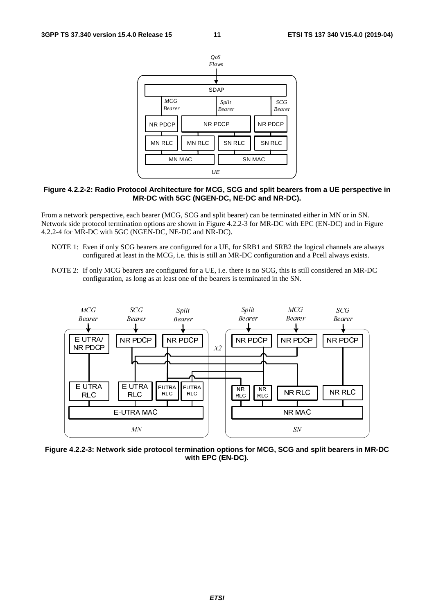

#### **Figure 4.2.2-2: Radio Protocol Architecture for MCG, SCG and split bearers from a UE perspective in MR-DC with 5GC (NGEN-DC, NE-DC and NR-DC).**

From a network perspective, each bearer (MCG, SCG and split bearer) can be terminated either in MN or in SN. Network side protocol termination options are shown in Figure 4.2.2-3 for MR-DC with EPC (EN-DC) and in Figure 4.2.2-4 for MR-DC with 5GC (NGEN-DC, NE-DC and NR-DC).

- NOTE 1: Even if only SCG bearers are configured for a UE, for SRB1 and SRB2 the logical channels are always configured at least in the MCG, i.e. this is still an MR-DC configuration and a Pcell always exists.
- NOTE 2: If only MCG bearers are configured for a UE, i.e. there is no SCG, this is still considered an MR-DC configuration, as long as at least one of the bearers is terminated in the SN.



**Figure 4.2.2-3: Network side protocol termination options for MCG, SCG and split bearers in MR-DC with EPC (EN-DC).**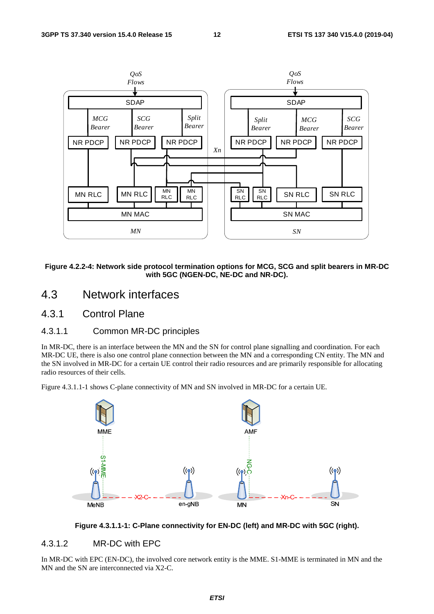

**Figure 4.2.2-4: Network side protocol termination options for MCG, SCG and split bearers in MR-DC with 5GC (NGEN-DC, NE-DC and NR-DC).** 

# 4.3 Network interfaces

4.3.1 Control Plane

### 4.3.1.1 Common MR-DC principles

In MR-DC, there is an interface between the MN and the SN for control plane signalling and coordination. For each MR-DC UE, there is also one control plane connection between the MN and a corresponding CN entity. The MN and the SN involved in MR-DC for a certain UE control their radio resources and are primarily responsible for allocating radio resources of their cells.

Figure 4.3.1.1-1 shows C-plane connectivity of MN and SN involved in MR-DC for a certain UE.





#### 4.3.1.2 MR-DC with EPC

In MR-DC with EPC (EN-DC), the involved core network entity is the MME. S1-MME is terminated in MN and the MN and the SN are interconnected via X2-C.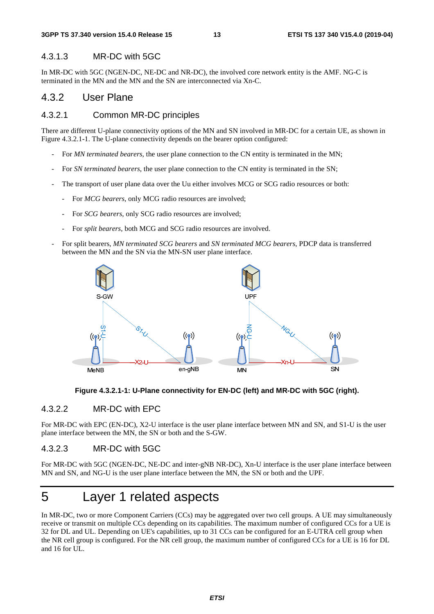#### 4.3.1.3 MR-DC with 5GC

In MR-DC with 5GC (NGEN-DC, NE-DC and NR-DC), the involved core network entity is the AMF. NG-C is terminated in the MN and the MN and the SN are interconnected via Xn-C.

### 4.3.2 User Plane

#### 4.3.2.1 Common MR-DC principles

There are different U-plane connectivity options of the MN and SN involved in MR-DC for a certain UE, as shown in Figure 4.3.2.1-1. The U-plane connectivity depends on the bearer option configured:

- For *MN terminated bearers*, the user plane connection to the CN entity is terminated in the MN;
- For *SN terminated bearers*, the user plane connection to the CN entity is terminated in the SN;
- The transport of user plane data over the Uu either involves MCG or SCG radio resources or both:
	- For *MCG bearers*, only MCG radio resources are involved;
	- For *SCG bearers*, only SCG radio resources are involved;
	- For *split bearers*, both MCG and SCG radio resources are involved.
- For split bearers, *MN terminated SCG bearers* and *SN terminated MCG bearers*, PDCP data is transferred between the MN and the SN via the MN-SN user plane interface.





### 4.3.2.2 MR-DC with EPC

For MR-DC with EPC (EN-DC), X2-U interface is the user plane interface between MN and SN, and S1-U is the user plane interface between the MN, the SN or both and the S-GW.

### 4.3.2.3 MR-DC with 5GC

For MR-DC with 5GC (NGEN-DC, NE-DC and inter-gNB NR-DC), Xn-U interface is the user plane interface between MN and SN, and NG-U is the user plane interface between the MN, the SN or both and the UPF.

# 5 Layer 1 related aspects

In MR-DC, two or more Component Carriers (CCs) may be aggregated over two cell groups. A UE may simultaneously receive or transmit on multiple CCs depending on its capabilities. The maximum number of configured CCs for a UE is 32 for DL and UL. Depending on UE's capabilities, up to 31 CCs can be configured for an E-UTRA cell group when the NR cell group is configured. For the NR cell group, the maximum number of configured CCs for a UE is 16 for DL and 16 for UL.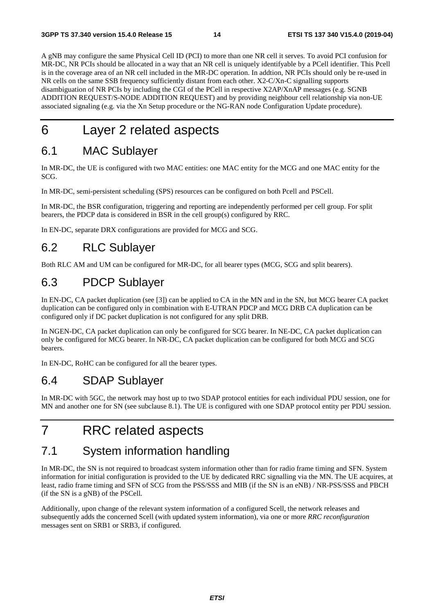A gNB may configure the same Physical Cell ID (PCI) to more than one NR cell it serves. To avoid PCI confusion for MR-DC, NR PCIs should be allocated in a way that an NR cell is uniquely identifyable by a PCell identifier. This Pcell is in the coverage area of an NR cell included in the MR-DC operation. In addtion, NR PCIs should only be re-used in NR cells on the same SSB frequency sufficiently distant from each other. X2-C/Xn-C signalling supports disambiguation of NR PCIs by including the CGI of the PCell in respective X2AP/XnAP messages (e.g. SGNB ADDITION REQUEST/S-NODE ADDITION REQUEST) and by providing neighbour cell relationship via non-UE associated signaling (e.g. via the Xn Setup procedure or the NG-RAN node Configuration Update procedure).

# 6 Layer 2 related aspects

# 6.1 MAC Sublayer

In MR-DC, the UE is configured with two MAC entities: one MAC entity for the MCG and one MAC entity for the SCG.

In MR-DC, semi-persistent scheduling (SPS) resources can be configured on both Pcell and PSCell.

In MR-DC, the BSR configuration, triggering and reporting are independently performed per cell group. For split bearers, the PDCP data is considered in BSR in the cell group(s) configured by RRC.

In EN-DC, separate DRX configurations are provided for MCG and SCG.

# 6.2 RLC Sublayer

Both RLC AM and UM can be configured for MR-DC, for all bearer types (MCG, SCG and split bearers).

# 6.3 PDCP Sublayer

In EN-DC, CA packet duplication (see [3]) can be applied to CA in the MN and in the SN, but MCG bearer CA packet duplication can be configured only in combination with E-UTRAN PDCP and MCG DRB CA duplication can be configured only if DC packet duplication is not configured for any split DRB.

In NGEN-DC, CA packet duplication can only be configured for SCG bearer. In NE-DC, CA packet duplication can only be configured for MCG bearer. In NR-DC, CA packet duplication can be configured for both MCG and SCG bearers.

In EN-DC, RoHC can be configured for all the bearer types.

# 6.4 SDAP Sublayer

In MR-DC with 5GC, the network may host up to two SDAP protocol entities for each individual PDU session, one for MN and another one for SN (see subclause 8.1). The UE is configured with one SDAP protocol entity per PDU session.

# 7 RRC related aspects

# 7.1 System information handling

In MR-DC, the SN is not required to broadcast system information other than for radio frame timing and SFN. System information for initial configuration is provided to the UE by dedicated RRC signalling via the MN. The UE acquires, at least, radio frame timing and SFN of SCG from the PSS/SSS and MIB (if the SN is an eNB) / NR-PSS/SSS and PBCH (if the SN is a gNB) of the PSCell.

Additionally, upon change of the relevant system information of a configured Scell, the network releases and subsequently adds the concerned Scell (with updated system information), via one or more *RRC reconfiguration* messages sent on SRB1 or SRB3, if configured.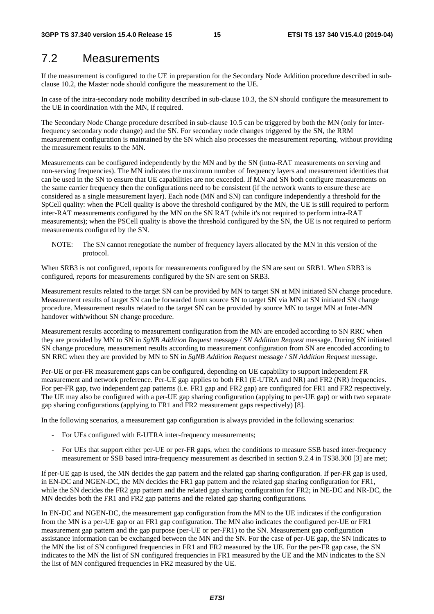# 7.2 Measurements

If the measurement is configured to the UE in preparation for the Secondary Node Addition procedure described in subclause 10.2, the Master node should configure the measurement to the UE.

In case of the intra-secondary node mobility described in sub-clause 10.3, the SN should configure the measurement to the UE in coordination with the MN, if required.

The Secondary Node Change procedure described in sub-clause 10.5 can be triggered by both the MN (only for interfrequency secondary node change) and the SN. For secondary node changes triggered by the SN, the RRM measurement configuration is maintained by the SN which also processes the measurement reporting, without providing the measurement results to the MN.

Measurements can be configured independently by the MN and by the SN (intra-RAT measurements on serving and non-serving frequencies). The MN indicates the maximum number of frequency layers and measurement identities that can be used in the SN to ensure that UE capabilities are not exceeded. If MN and SN both configure measurements on the same carrier frequency then the configurations need to be consistent (if the network wants to ensure these are considered as a single measurement layer). Each node (MN and SN) can configure independently a threshold for the SpCell quality: when the PCell quality is above the threshold configured by the MN, the UE is still required to perform inter-RAT measurements configured by the MN on the SN RAT (while it's not required to perform intra-RAT measurements); when the PSCell quality is above the threshold configured by the SN, the UE is not required to perform measurements configured by the SN.

NOTE: The SN cannot renegotiate the number of frequency layers allocated by the MN in this version of the protocol.

When SRB3 is not configured, reports for measurements configured by the SN are sent on SRB1. When SRB3 is configured, reports for measurements configured by the SN are sent on SRB3.

Measurement results related to the target SN can be provided by MN to target SN at MN initiated SN change procedure. Measurement results of target SN can be forwarded from source SN to target SN via MN at SN initiated SN change procedure. Measurement results related to the target SN can be provided by source MN to target MN at Inter-MN handover with/without SN change procedure.

Measurement results according to measurement configuration from the MN are encoded according to SN RRC when they are provided by MN to SN in *SgNB Addition Request* message / *SN Addition Request* message. During SN initiated SN change procedure, measurement results according to measurement configuration from SN are encoded according to SN RRC when they are provided by MN to SN in *SgNB Addition Request* message / *SN Addition Request* message.

Per-UE or per-FR measurement gaps can be configured, depending on UE capability to support independent FR measurement and network preference. Per-UE gap applies to both FR1 (E-UTRA and NR) and FR2 (NR) frequencies. For per-FR gap, two independent gap patterns (i.e. FR1 gap and FR2 gap) are configured for FR1 and FR2 respectively. The UE may also be configured with a per-UE gap sharing configuration (applying to per-UE gap) or with two separate gap sharing configurations (applying to FR1 and FR2 measurement gaps respectively) [8].

In the following scenarios, a measurement gap configuration is always provided in the following scenarios:

- For UEs configured with E-UTRA inter-frequency measurements;
- For UEs that support either per-UE or per-FR gaps, when the conditions to measure SSB based inter-frequency measurement or SSB based intra-frequency measurement as described in section 9.2.4 in TS38.300 [3] are met;

If per-UE gap is used, the MN decides the gap pattern and the related gap sharing configuration. If per-FR gap is used, in EN-DC and NGEN-DC, the MN decides the FR1 gap pattern and the related gap sharing configuration for FR1, while the SN decides the FR2 gap pattern and the related gap sharing configuration for FR2; in NE-DC and NR-DC, the MN decides both the FR1 and FR2 gap patterns and the related gap sharing configurations.

In EN-DC and NGEN-DC, the measurement gap configuration from the MN to the UE indicates if the configuration from the MN is a per-UE gap or an FR1 gap configuration. The MN also indicates the configured per-UE or FR1 measurement gap pattern and the gap purpose (per-UE or per-FR1) to the SN. Measurement gap configuration assistance information can be exchanged between the MN and the SN. For the case of per-UE gap, the SN indicates to the MN the list of SN configured frequencies in FR1 and FR2 measured by the UE. For the per-FR gap case, the SN indicates to the MN the list of SN configured frequencies in FR1 measured by the UE and the MN indicates to the SN the list of MN configured frequencies in FR2 measured by the UE.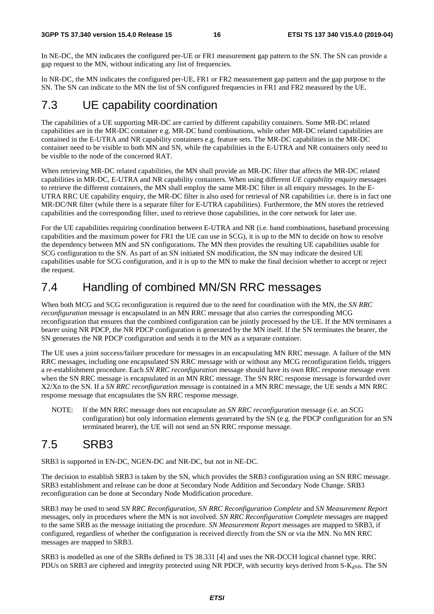In NE-DC, the MN indicates the configured per-UE or FR1 measurement gap pattern to the SN. The SN can provide a gap request to the MN, without indicating any list of frequencies.

In NR-DC, the MN indicates the configured per-UE, FR1 or FR2 measurement gap pattern and the gap purpose to the SN. The SN can indicate to the MN the list of SN configured frequencies in FR1 and FR2 measured by the UE.

# 7.3 UE capability coordination

The capabilities of a UE supporting MR-DC are carried by different capability containers. Some MR-DC related capabilities are in the MR-DC container e.g. MR-DC band combinations, while other MR-DC related capabilities are contained in the E-UTRA and NR capability containers e.g. feature sets. The MR-DC capabilities in the MR-DC container need to be visible to both MN and SN, while the capabilities in the E-UTRA and NR containers only need to be visible to the node of the concerned RAT.

When retrieving MR-DC related capabilities, the MN shall provide an MR-DC filter that affects the MR-DC related capabilities in MR-DC, E-UTRA and NR capability containers. When using different *UE capability enquiry* messages to retrieve the different containers, the MN shall employ the same MR-DC filter in all enquiry messages. In the E-UTRA RRC UE capability enquiry, the MR-DC filter is also used for retrieval of NR capabilities i.e. there is in fact one MR-DC/NR filter (while there is a separate filter for E-UTRA capabilities). Furthermore, the MN stores the retrieved capabilities and the corresponding filter, used to retrieve those capabilities, in the core network for later use.

For the UE capabilities requiring coordination between E-UTRA and NR (i.e. band combinations, baseband processing capabilities and the maximum power for FR1 the UE can use in SCG), it is up to the MN to decide on how to resolve the dependency between MN and SN configurations. The MN then provides the resulting UE capabilities usable for SCG configuration to the SN. As part of an SN initiated SN modification, the SN may indicate the desired UE capabilities usable for SCG configuration, and it is up to the MN to make the final decision whether to accept or reject the request.

# 7.4 Handling of combined MN/SN RRC messages

When both MCG and SCG reconfiguration is required due to the need for coordination with the MN, the *SN RRC reconfiguration* message is encapsulated in an MN RRC message that also carries the corresponding MCG reconfiguration that ensures that the combined configuration can be jointly processed by the UE. If the MN terminates a bearer using NR PDCP, the NR PDCP configuration is generated by the MN itself. If the SN terminates the bearer, the SN generates the NR PDCP configuration and sends it to the MN as a separate container.

The UE uses a joint success/failure procedure for messages in an encapsulating MN RRC message. A failure of the MN RRC messages, including one encapsulated SN RRC message with or without any MCG reconfiguration fields, triggers a re-establishment procedure. Each *SN RRC reconfiguration* message should have its own RRC response message even when the SN RRC message is encapsulated in an MN RRC message. The SN RRC response message is forwarded over X2/Xn to the SN. If a *SN RRC reconfiguration* message is contained in a MN RRC message, the UE sends a MN RRC response message that encapsulates the SN RRC response message.

NOTE: If the MN RRC message does not encapsulate an *SN RRC reconfiguration* message (i.e. an SCG configuration) but only information elements generated by the SN (e.g. the PDCP configuration for an SN terminated bearer), the UE will not send an SN RRC response message.

# 7.5 SRB3

SRB3 is supported in EN-DC, NGEN-DC and NR-DC, but not in NE-DC.

The decision to establish SRB3 is taken by the SN, which provides the SRB3 configuration using an SN RRC message. SRB3 establishment and release can be done at Secondary Node Addition and Secondary Node Change. SRB3 reconfiguration can be done at Secondary Node Modification procedure.

SRB3 may be used to send *SN RRC Reconfiguration*, *SN RRC Reconfiguration Complete* and *SN Measurement Report* messages, only in procedures where the MN is not involved. *SN RRC Reconfiguration Complete* messages are mapped to the same SRB as the message initiating the procedure. *SN Measurement Report* messages are mapped to SRB3, if configured, regardless of whether the configuration is received directly from the SN or via the MN. No MN RRC messages are mapped to SRB3.

SRB3 is modelled as one of the SRBs defined in TS 38.331 [4] and uses the NR-DCCH logical channel type. RRC PDUs on SRB3 are ciphered and integrity protected using NR PDCP, with security keys derived from S-K<sub>gNB</sub>. The SN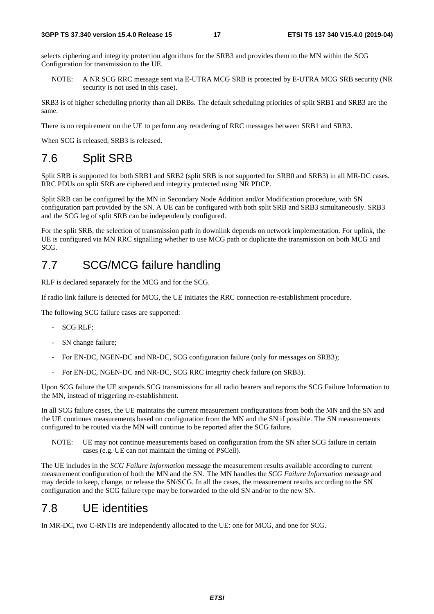selects ciphering and integrity protection algorithms for the SRB3 and provides them to the MN within the SCG Configuration for transmission to the UE.

NOTE: A NR SCG RRC message sent via E-UTRA MCG SRB is protected by E-UTRA MCG SRB security (NR security is not used in this case).

SRB3 is of higher scheduling priority than all DRBs. The default scheduling priorities of split SRB1 and SRB3 are the same.

There is no requirement on the UE to perform any reordering of RRC messages between SRB1 and SRB3.

When SCG is released, SRB3 is released.

# 7.6 Split SRB

Split SRB is supported for both SRB1 and SRB2 (split SRB is not supported for SRB0 and SRB3) in all MR-DC cases. RRC PDUs on split SRB are ciphered and integrity protected using NR PDCP.

Split SRB can be configured by the MN in Secondary Node Addition and/or Modification procedure, with SN configuration part provided by the SN. A UE can be configured with both split SRB and SRB3 simultaneously. SRB3 and the SCG leg of split SRB can be independently configured.

For the split SRB, the selection of transmission path in downlink depends on network implementation. For uplink, the UE is configured via MN RRC signalling whether to use MCG path or duplicate the transmission on both MCG and SCG.

# 7.7 SCG/MCG failure handling

RLF is declared separately for the MCG and for the SCG.

If radio link failure is detected for MCG, the UE initiates the RRC connection re-establishment procedure.

The following SCG failure cases are supported:

- SCG RLF;
- SN change failure:
- For EN-DC, NGEN-DC and NR-DC, SCG configuration failure (only for messages on SRB3);
- For EN-DC, NGEN-DC and NR-DC, SCG RRC integrity check failure (on SRB3).

Upon SCG failure the UE suspends SCG transmissions for all radio bearers and reports the SCG Failure Information to the MN, instead of triggering re-establishment.

In all SCG failure cases, the UE maintains the current measurement configurations from both the MN and the SN and the UE continues measurements based on configuration from the MN and the SN if possible. The SN measurements configured to be routed via the MN will continue to be reported after the SCG failure.

NOTE: UE may not continue measurements based on configuration from the SN after SCG failure in certain cases (e.g. UE can not maintain the timing of PSCell).

The UE includes in the *SCG Failure Information* message the measurement results available according to current measurement configuration of both the MN and the SN. The MN handles the *SCG Failure Information* message and may decide to keep, change, or release the SN/SCG. In all the cases, the measurement results according to the SN configuration and the SCG failure type may be forwarded to the old SN and/or to the new SN.

# 7.8 UE identities

In MR-DC, two C-RNTIs are independently allocated to the UE: one for MCG, and one for SCG.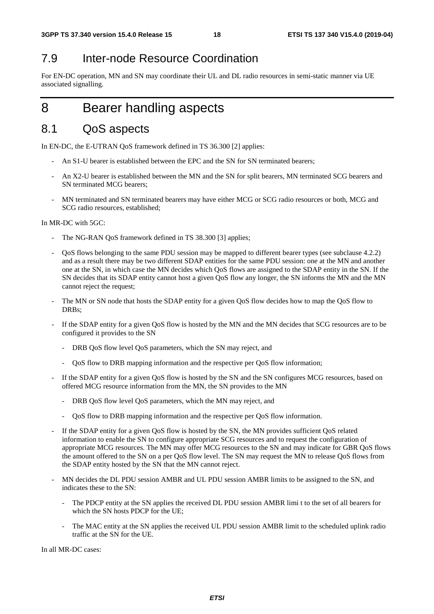# 7.9 Inter-node Resource Coordination

For EN-DC operation, MN and SN may coordinate their UL and DL radio resources in semi-static manner via UE associated signalling.

# 8 Bearer handling aspects

# 8.1 QoS aspects

In EN-DC, the E-UTRAN QoS framework defined in TS 36.300 [2] applies:

- An S1-U bearer is established between the EPC and the SN for SN terminated bearers;
- An X2-U bearer is established between the MN and the SN for split bearers, MN terminated SCG bearers and SN terminated MCG bearers;
- MN terminated and SN terminated bearers may have either MCG or SCG radio resources or both, MCG and SCG radio resources, established;

In MR-DC with 5GC:

- The NG-RAN QoS framework defined in TS 38.300 [3] applies;
- QoS flows belonging to the same PDU session may be mapped to different bearer types (see subclause 4.2.2) and as a result there may be two different SDAP entities for the same PDU session: one at the MN and another one at the SN, in which case the MN decides which QoS flows are assigned to the SDAP entity in the SN. If the SN decides that its SDAP entity cannot host a given QoS flow any longer, the SN informs the MN and the MN cannot reject the request;
- The MN or SN node that hosts the SDAP entity for a given OoS flow decides how to map the OoS flow to DRBs;
- If the SDAP entity for a given QoS flow is hosted by the MN and the MN decides that SCG resources are to be configured it provides to the SN
	- DRB QoS flow level QoS parameters, which the SN may reject, and
	- QoS flow to DRB mapping information and the respective per QoS flow information;
- If the SDAP entity for a given QoS flow is hosted by the SN and the SN configures MCG resources, based on offered MCG resource information from the MN, the SN provides to the MN
	- DRB QoS flow level QoS parameters, which the MN may reject, and
	- QoS flow to DRB mapping information and the respective per QoS flow information.
- If the SDAP entity for a given QoS flow is hosted by the SN, the MN provides sufficient QoS related information to enable the SN to configure appropriate SCG resources and to request the configuration of appropriate MCG resources. The MN may offer MCG resources to the SN and may indicate for GBR QoS flows the amount offered to the SN on a per QoS flow level. The SN may request the MN to release QoS flows from the SDAP entity hosted by the SN that the MN cannot reject.
- MN decides the DL PDU session AMBR and UL PDU session AMBR limits to be assigned to the SN, and indicates these to the SN:
	- The PDCP entity at the SN applies the received DL PDU session AMBR limi t to the set of all bearers for which the SN hosts PDCP for the UE;
	- The MAC entity at the SN applies the received UL PDU session AMBR limit to the scheduled uplink radio traffic at the SN for the UE.

In all MR-DC cases: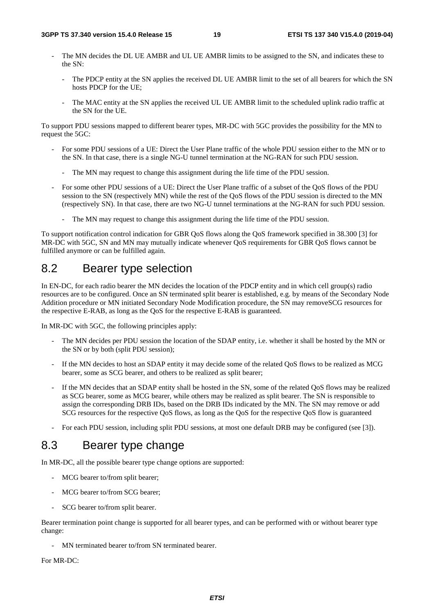- The MN decides the DL UE AMBR and UL UE AMBR limits to be assigned to the SN, and indicates these to the SN:
	- The PDCP entity at the SN applies the received DL UE AMBR limit to the set of all bearers for which the SN hosts PDCP for the UE;
	- The MAC entity at the SN applies the received UL UE AMBR limit to the scheduled uplink radio traffic at the SN for the UE.

To support PDU sessions mapped to different bearer types, MR-DC with 5GC provides the possibility for the MN to request the 5GC:

- For some PDU sessions of a UE: Direct the User Plane traffic of the whole PDU session either to the MN or to the SN. In that case, there is a single NG-U tunnel termination at the NG-RAN for such PDU session.
	- The MN may request to change this assignment during the life time of the PDU session.
- For some other PDU sessions of a UE: Direct the User Plane traffic of a subset of the QoS flows of the PDU session to the SN (respectively MN) while the rest of the QoS flows of the PDU session is directed to the MN (respectively SN). In that case, there are two NG-U tunnel terminations at the NG-RAN for such PDU session.
	- The MN may request to change this assignment during the life time of the PDU session.

To support notification control indication for GBR QoS flows along the QoS framework specified in 38.300 [3] for MR-DC with 5GC, SN and MN may mutually indicate whenever QoS requirements for GBR QoS flows cannot be fulfilled anymore or can be fulfilled again.

# 8.2 Bearer type selection

In EN-DC, for each radio bearer the MN decides the location of the PDCP entity and in which cell group(s) radio resources are to be configured. Once an SN terminated split bearer is established, e.g. by means of the Secondary Node Addition procedure or MN initiated Secondary Node Modification procedure, the SN may removeSCG resources for the respective E-RAB, as long as the QoS for the respective E-RAB is guaranteed.

In MR-DC with 5GC, the following principles apply:

- The MN decides per PDU session the location of the SDAP entity, i.e. whether it shall be hosted by the MN or the SN or by both (split PDU session);
- If the MN decides to host an SDAP entity it may decide some of the related QoS flows to be realized as MCG bearer, some as SCG bearer, and others to be realized as split bearer;
- If the MN decides that an SDAP entity shall be hosted in the SN, some of the related OoS flows may be realized as SCG bearer, some as MCG bearer, while others may be realized as split bearer. The SN is responsible to assign the corresponding DRB IDs, based on the DRB IDs indicated by the MN. The SN may remove or add SCG resources for the respective QoS flows, as long as the QoS for the respective QoS flow is guaranteed
- For each PDU session, including split PDU sessions, at most one default DRB may be configured (see [3]).

# 8.3 Bearer type change

In MR-DC, all the possible bearer type change options are supported:

- MCG bearer to/from split bearer;
- MCG bearer to/from SCG bearer;
- SCG bearer to/from split bearer.

Bearer termination point change is supported for all bearer types, and can be performed with or without bearer type change:

- MN terminated bearer to/from SN terminated bearer.

For MR-DC: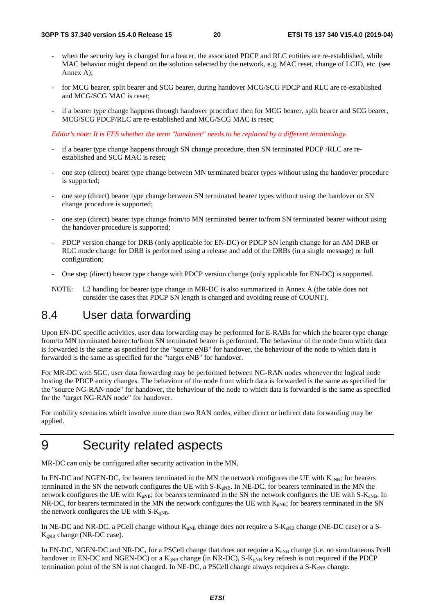- when the security key is changed for a bearer, the associated PDCP and RLC entities are re-established, while MAC behavior might depend on the solution selected by the network, e.g. MAC reset, change of LCID, etc. (see Annex A);
- for MCG bearer, split bearer and SCG bearer, during handover MCG/SCG PDCP and RLC are re-established and MCG/SCG MAC is reset;
- if a bearer type change happens through handover procedure then for MCG bearer, split bearer and SCG bearer, MCG/SCG PDCP/RLC are re-established and MCG/SCG MAC is reset;

*Editor's note: It is FFS whether the term "handover" needs to be replaced by a different terminology.*

- if a bearer type change happens through SN change procedure, then SN terminated PDCP /RLC are reestablished and SCG MAC is reset;
- one step (direct) bearer type change between MN terminated bearer types without using the handover procedure is supported;
- one step (direct) bearer type change between SN terminated bearer types without using the handover or SN change procedure is supported;
- one step (direct) bearer type change from/to MN terminated bearer to/from SN terminated bearer without using the handover procedure is supported;
- PDCP version change for DRB (only applicable for EN-DC) or PDCP SN length change for an AM DRB or RLC mode change for DRB is performed using a release and add of the DRBs (in a single message) or full configuration;
- One step (direct) bearer type change with PDCP version change (only applicable for EN-DC) is supported.
- NOTE: L2 handling for bearer type change in MR-DC is also summarized in Annex A (the table does not consider the cases that PDCP SN length is changed and avoiding reuse of COUNT).

# 8.4 User data forwarding

Upon EN-DC specific activities, user data forwarding may be performed for E-RABs for which the bearer type change from/to MN terminated bearer to/from SN terminated bearer is performed. The behaviour of the node from which data is forwarded is the same as specified for the "source eNB" for handover, the behaviour of the node to which data is forwarded is the same as specified for the "target eNB" for handover.

For MR-DC with 5GC, user data forwarding may be performed between NG-RAN nodes whenever the logical node hosting the PDCP entity changes. The behaviour of the node from which data is forwarded is the same as specified for the "source NG-RAN node" for handover, the behaviour of the node to which data is forwarded is the same as specified for the "target NG-RAN node" for handover.

For mobility scenarios which involve more than two RAN nodes, either direct or indirect data forwarding may be applied.

# 9 Security related aspects

MR-DC can only be configured after security activation in the MN.

In EN-DC and NGEN-DC, for bearers terminated in the MN the network configures the UE with  $K_{eNB}$ ; for bearers terminated in the SN the network configures the UE with  $S-K_{gNB}$ . In NE-DC, for bearers terminated in the MN the network configures the UE with  $K_{eNB}$ ; for bearers terminated in the SN the network configures the UE with S- $K_{eNB}$ . In NR-DC, for bearers terminated in the MN the network configures the UE with  $K_{\text{eNB}}$ ; for bearers terminated in the SN the network configures the UE with  $S-K_{eNB}$ .

In NE-DC and NR-DC, a PCell change without  $K_{gNB}$  change does not require a S- $K_{eNB}$  change (NE-DC case) or a S- $K_{gNB}$  change (NR-DC case).

In EN-DC, NGEN-DC and NR-DC, for a PSCell change that does not require a  $K_{eNB}$  change (i.e. no simultaneous Pcell handover in EN-DC and NGEN-DC) or a  $K_{eNB}$  change (in NR-DC), S- $K_{eNB}$  key refresh is not required if the PDCP termination point of the SN is not changed. In NE-DC, a PSCell change always requires a  $S-K_{eNB}$  change.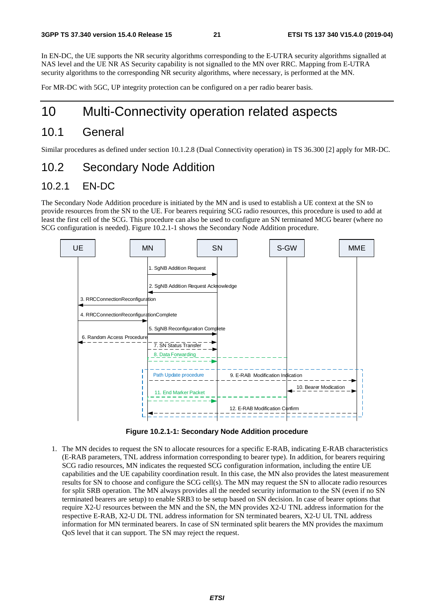In EN-DC, the UE supports the NR security algorithms corresponding to the E-UTRA security algorithms signalled at NAS level and the UE NR AS Security capability is not signalled to the MN over RRC. Mapping from E-UTRA security algorithms to the corresponding NR security algorithms, where necessary, is performed at the MN.

For MR-DC with 5GC, UP integrity protection can be configured on a per radio bearer basis.

# 10 Multi-Connectivity operation related aspects

# 10.1 General

Similar procedures as defined under section 10.1.2.8 (Dual Connectivity operation) in TS 36.300 [2] apply for MR-DC.

## 10.2 Secondary Node Addition

### 10.2.1 EN-DC

The Secondary Node Addition procedure is initiated by the MN and is used to establish a UE context at the SN to provide resources from the SN to the UE. For bearers requiring SCG radio resources, this procedure is used to add at least the first cell of the SCG. This procedure can also be used to configure an SN terminated MCG bearer (where no SCG configuration is needed). Figure 10.2.1-1 shows the Secondary Node Addition procedure.



**Figure 10.2.1-1: Secondary Node Addition procedure** 

1. The MN decides to request the SN to allocate resources for a specific E-RAB, indicating E-RAB characteristics (E-RAB parameters, TNL address information corresponding to bearer type). In addition, for bearers requiring SCG radio resources, MN indicates the requested SCG configuration information, including the entire UE capabilities and the UE capability coordination result. In this case, the MN also provides the latest measurement results for SN to choose and configure the SCG cell(s). The MN may request the SN to allocate radio resources for split SRB operation. The MN always provides all the needed security information to the SN (even if no SN terminated bearers are setup) to enable SRB3 to be setup based on SN decision. In case of bearer options that require X2-U resources between the MN and the SN, the MN provides X2-U TNL address information for the respective E-RAB, X2-U DL TNL address information for SN terminated bearers, X2-U UL TNL address information for MN terminated bearers. In case of SN terminated split bearers the MN provides the maximum QoS level that it can support. The SN may reject the request.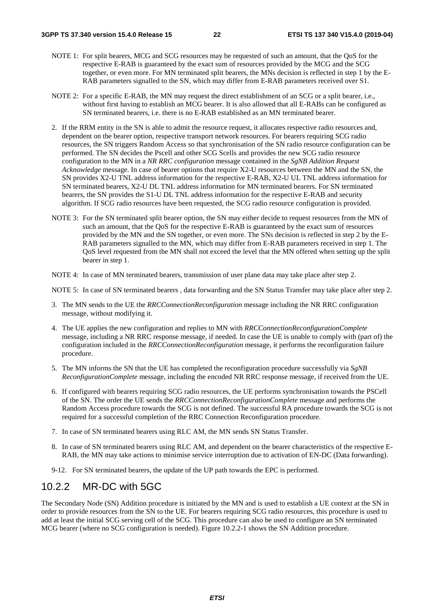- NOTE 1: For split bearers, MCG and SCG resources may be requested of such an amount, that the OoS for the respective E-RAB is guaranteed by the exact sum of resources provided by the MCG and the SCG together, or even more. For MN terminated split bearers, the MNs decision is reflected in step 1 by the E-RAB parameters signalled to the SN, which may differ from E-RAB parameters received over S1.
- NOTE 2: For a specific E-RAB, the MN may request the direct establishment of an SCG or a split bearer, i.e., without first having to establish an MCG bearer. It is also allowed that all E-RABs can be configured as SN terminated bearers, i.e. there is no E-RAB established as an MN terminated bearer.
- 2. If the RRM entity in the SN is able to admit the resource request, it allocates respective radio resources and, dependent on the bearer option, respective transport network resources. For bearers requiring SCG radio resources, the SN triggers Random Access so that synchronisation of the SN radio resource configuration can be performed. The SN decides the Pscell and other SCG Scells and provides the new SCG radio resource configuration to the MN in a *NR RRC configuration* message contained in the *SgNB Addition Request Acknowledge* message. In case of bearer options that require X2-U resources between the MN and the SN, the SN provides X2-U TNL address information for the respective E-RAB, X2-U UL TNL address information for SN terminated bearers, X2-U DL TNL address information for MN terminated bearers. For SN terminated bearers, the SN provides the S1-U DL TNL address information for the respective E-RAB and security algorithm. If SCG radio resources have been requested, the SCG radio resource configuration is provided.
- NOTE 3: For the SN terminated split bearer option, the SN may either decide to request resources from the MN of such an amount, that the QoS for the respective E-RAB is guaranteed by the exact sum of resources provided by the MN and the SN together, or even more. The SNs decision is reflected in step 2 by the E-RAB parameters signalled to the MN, which may differ from E-RAB parameters received in step 1. The QoS level requested from the MN shall not exceed the level that the MN offered when setting up the split bearer in step 1.
- NOTE 4: In case of MN terminated bearers, transmission of user plane data may take place after step 2.

NOTE 5: In case of SN terminated bearers , data forwarding and the SN Status Transfer may take place after step 2.

- 3. The MN sends to the UE the *RRCConnectionReconfiguration* message including the NR RRC configuration message, without modifying it.
- 4. The UE applies the new configuration and replies to MN with *RRCConnectionReconfigurationComplete* message, including a NR RRC response message, if needed. In case the UE is unable to comply with (part of) the configuration included in the *RRCConnectionReconfiguration* message, it performs the reconfiguration failure procedure.
- 5. The MN informs the SN that the UE has completed the reconfiguration procedure successfully via *SgNB ReconfigurationComplete* message, including the encoded NR RRC response message, if received from the UE.
- 6. If configured with bearers requiring SCG radio resources, the UE performs synchronisation towards the PSCell of the SN. The order the UE sends the *RRCConnectionReconfigurationComplete* message and performs the Random Access procedure towards the SCG is not defined. The successful RA procedure towards the SCG is not required for a successful completion of the RRC Connection Reconfiguration procedure.
- 7. In case of SN terminated bearers using RLC AM, the MN sends SN Status Transfer.
- 8. In case of SN terminated bearers using RLC AM, and dependent on the bearer characteristics of the respective E-RAB, the MN may take actions to minimise service interruption due to activation of EN-DC (Data forwarding).
- 9-12. For SN terminated bearers, the update of the UP path towards the EPC is performed.

### 10.2.2 MR-DC with 5GC

The Secondary Node (SN) Addition procedure is initiated by the MN and is used to establish a UE context at the SN in order to provide resources from the SN to the UE. For bearers requiring SCG radio resources, this procedure is used to add at least the initial SCG serving cell of the SCG. This procedure can also be used to configure an SN terminated MCG bearer (where no SCG configuration is needed). Figure 10.2.2-1 shows the SN Addition procedure.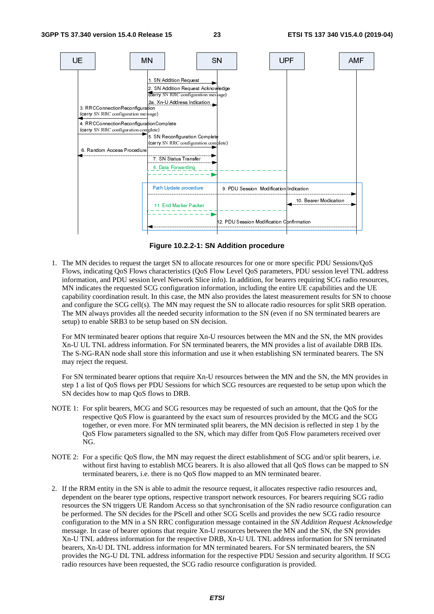

**Figure 10.2.2-1: SN Addition procedure** 

1. The MN decides to request the target SN to allocate resources for one or more specific PDU Sessions/QoS Flows, indicating QoS Flows characteristics (QoS Flow Level QoS parameters, PDU session level TNL address information, and PDU session level Network Slice info). In addition, for bearers requiring SCG radio resources, MN indicates the requested SCG configuration information, including the entire UE capabilities and the UE capability coordination result. In this case, the MN also provides the latest measurement results for SN to choose and configure the SCG cell(s). The MN may request the SN to allocate radio resources for split SRB operation. The MN always provides all the needed security information to the SN (even if no SN terminated bearers are setup) to enable SRB3 to be setup based on SN decision.

 For MN terminated bearer options that require Xn-U resources between the MN and the SN, the MN provides Xn-U UL TNL address information. For SN terminated bearers, the MN provides a list of available DRB IDs. The S-NG-RAN node shall store this information and use it when establishing SN terminated bearers. The SN may reject the request.

 For SN terminated bearer options that require Xn-U resources between the MN and the SN, the MN provides in step 1 a list of QoS flows per PDU Sessions for which SCG resources are requested to be setup upon which the SN decides how to map QoS flows to DRB.

- NOTE 1: For split bearers, MCG and SCG resources may be requested of such an amount, that the QoS for the respective QoS Flow is guaranteed by the exact sum of resources provided by the MCG and the SCG together, or even more. For MN terminated split bearers, the MN decision is reflected in step 1 by the QoS Flow parameters signalled to the SN, which may differ from QoS Flow parameters received over NG.
- NOTE 2: For a specific QoS flow, the MN may request the direct establishment of SCG and/or split bearers, i.e. without first having to establish MCG bearers. It is also allowed that all QoS flows can be mapped to SN terminated bearers, i.e. there is no QoS flow mapped to an MN terminated bearer.
- 2. If the RRM entity in the SN is able to admit the resource request, it allocates respective radio resources and, dependent on the bearer type options, respective transport network resources. For bearers requiring SCG radio resources the SN triggers UE Random Access so that synchronisation of the SN radio resource configuration can be performed. The SN decides for the PScell and other SCG Scells and provides the new SCG radio resource configuration to the MN in a SN RRC configuration message contained in the *SN Addition Request Acknowledge* message. In case of bearer options that require Xn-U resources between the MN and the SN, the SN provides Xn-U TNL address information for the respective DRB, Xn-U UL TNL address information for SN terminated bearers, Xn-U DL TNL address information for MN terminated bearers. For SN terminated bearers, the SN provides the NG-U DL TNL address information for the respective PDU Session and security algorithm. If SCG radio resources have been requested, the SCG radio resource configuration is provided.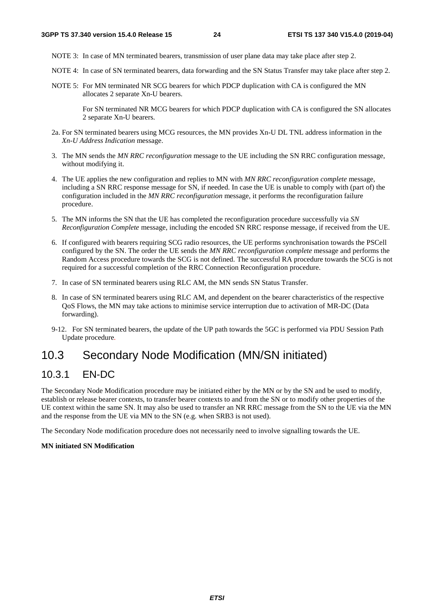- NOTE 3: In case of MN terminated bearers, transmission of user plane data may take place after step 2.
- NOTE 4: In case of SN terminated bearers, data forwarding and the SN Status Transfer may take place after step 2.
- NOTE 5: For MN terminated NR SCG bearers for which PDCP duplication with CA is configured the MN allocates 2 separate Xn-U bearers.

 For SN terminated NR MCG bearers for which PDCP duplication with CA is configured the SN allocates 2 separate Xn-U bearers.

- 2a. For SN terminated bearers using MCG resources, the MN provides Xn-U DL TNL address information in the *Xn-U Address Indication* message.
- 3. The MN sends the *MN RRC reconfiguration* message to the UE including the SN RRC configuration message, without modifying it.
- 4. The UE applies the new configuration and replies to MN with *MN RRC reconfiguration complete* message, including a SN RRC response message for SN, if needed. In case the UE is unable to comply with (part of) the configuration included in the *MN RRC reconfiguration* message, it performs the reconfiguration failure procedure.
- 5. The MN informs the SN that the UE has completed the reconfiguration procedure successfully via *SN Reconfiguration Complete* message, including the encoded SN RRC response message, if received from the UE.
- 6. If configured with bearers requiring SCG radio resources, the UE performs synchronisation towards the PSCell configured by the SN. The order the UE sends the *MN RRC reconfiguration complete* message and performs the Random Access procedure towards the SCG is not defined. The successful RA procedure towards the SCG is not required for a successful completion of the RRC Connection Reconfiguration procedure.
- 7. In case of SN terminated bearers using RLC AM, the MN sends SN Status Transfer.
- 8. In case of SN terminated bearers using RLC AM, and dependent on the bearer characteristics of the respective QoS Flows, the MN may take actions to minimise service interruption due to activation of MR-DC (Data forwarding).
- 9-12. For SN terminated bearers, the update of the UP path towards the 5GC is performed via PDU Session Path Update procedure*.*

## 10.3 Secondary Node Modification (MN/SN initiated)

### 10.3.1 EN-DC

The Secondary Node Modification procedure may be initiated either by the MN or by the SN and be used to modify, establish or release bearer contexts, to transfer bearer contexts to and from the SN or to modify other properties of the UE context within the same SN. It may also be used to transfer an NR RRC message from the SN to the UE via the MN and the response from the UE via MN to the SN (e.g. when SRB3 is not used).

The Secondary Node modification procedure does not necessarily need to involve signalling towards the UE.

#### **MN initiated SN Modification**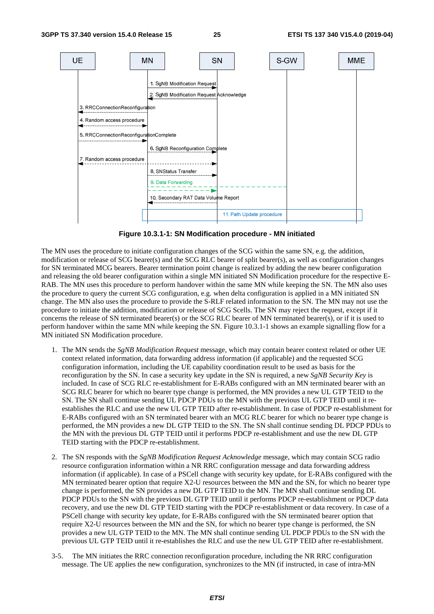

**Figure 10.3.1-1: SN Modification procedure - MN initiated** 

The MN uses the procedure to initiate configuration changes of the SCG within the same SN, e.g. the addition, modification or release of SCG bearer(s) and the SCG RLC bearer of split bearer(s), as well as configuration changes for SN terminated MCG bearers. Bearer termination point change is realized by adding the new bearer configuration and releasing the old bearer configuration within a single MN initiated SN Modification procedure for the respective E-RAB. The MN uses this procedure to perform handover within the same MN while keeping the SN. The MN also uses the procedure to query the current SCG configuration, e.g. when delta configuration is applied in a MN initiated SN change. The MN also uses the procedure to provide the S-RLF related information to the SN. The MN may not use the procedure to initiate the addition, modification or release of SCG Scells. The SN may reject the request, except if it concerns the release of SN terminated bearer(s) or the SCG RLC bearer of MN terminated bearer(s), or if it is used to perform handover within the same MN while keeping the SN. Figure 10.3.1-1 shows an example signalling flow for a MN initiated SN Modification procedure.

- 1. The MN sends the *SgNB Modification Request* message, which may contain bearer context related or other UE context related information, data forwarding address information (if applicable) and the requested SCG configuration information, including the UE capability coordination result to be used as basis for the reconfiguration by the SN. In case a security key update in the SN is required, a new *SgNB Security Key* is included. In case of SCG RLC re-establishment for E-RABs configured with an MN terminated bearer with an SCG RLC bearer for which no bearer type change is performed, the MN provides a new UL GTP TEID to the SN. The SN shall continue sending UL PDCP PDUs to the MN with the previous UL GTP TEID until it reestablishes the RLC and use the new UL GTP TEID after re-establishment. In case of PDCP re-establishment for E-RABs configured with an SN terminated bearer with an MCG RLC bearer for which no bearer type change is performed, the MN provides a new DL GTP TEID to the SN. The SN shall continue sending DL PDCP PDUs to the MN with the previous DL GTP TEID until it performs PDCP re-establishment and use the new DL GTP TEID starting with the PDCP re-establishment.
- 2. The SN responds with the *SgNB Modification Request Acknowledge* message, which may contain SCG radio resource configuration information within a NR RRC configuration message and data forwarding address information (if applicable). In case of a PSCell change with security key update, for E-RABs configured with the MN terminated bearer option that require X2-U resources between the MN and the SN, for which no bearer type change is performed, the SN provides a new DL GTP TEID to the MN. The MN shall continue sending DL PDCP PDUs to the SN with the previous DL GTP TEID until it performs PDCP re-establishment or PDCP data recovery, and use the new DL GTP TEID starting with the PDCP re-establishment or data recovery. In case of a PSCell change with security key update, for E-RABs configured with the SN terminated bearer option that require X2-U resources between the MN and the SN, for which no bearer type change is performed, the SN provides a new UL GTP TEID to the MN. The MN shall continue sending UL PDCP PDUs to the SN with the previous UL GTP TEID until it re-establishes the RLC and use the new UL GTP TEID after re-establishment.
- 3-5. The MN initiates the RRC connection reconfiguration procedure, including the NR RRC configuration message. The UE applies the new configuration, synchronizes to the MN (if instructed, in case of intra-MN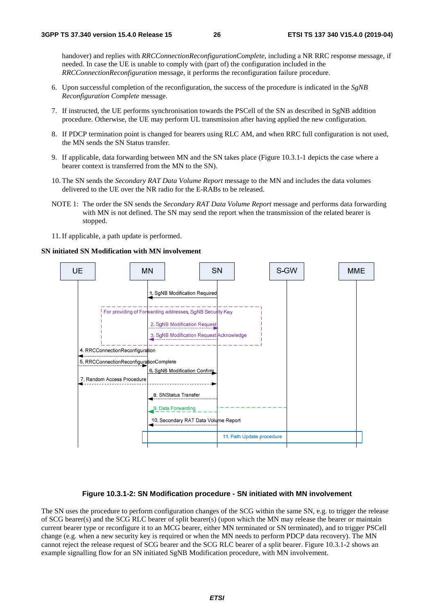handover) and replies with *RRCConnectionReconfigurationComplete*, including a NR RRC response message, if needed. In case the UE is unable to comply with (part of) the configuration included in the *RRCConnectionReconfiguration* message, it performs the reconfiguration failure procedure.

- 6. Upon successful completion of the reconfiguration, the success of the procedure is indicated in the *SgNB Reconfiguration Complete* message.
- 7. If instructed, the UE performs synchronisation towards the PSCell of the SN as described in SgNB addition procedure. Otherwise, the UE may perform UL transmission after having applied the new configuration.
- 8. If PDCP termination point is changed for bearers using RLC AM, and when RRC full configuration is not used, the MN sends the SN Status transfer.
- 9. If applicable, data forwarding between MN and the SN takes place (Figure 10.3.1-1 depicts the case where a bearer context is transferred from the MN to the SN).
- 10. The SN sends the *Secondary RAT Data Volume Report* message to the MN and includes the data volumes delivered to the UE over the NR radio for the E-RABs to be released.
- NOTE 1: The order the SN sends the *Secondary RAT Data Volume Report* message and performs data forwarding with MN is not defined. The SN may send the report when the transmission of the related bearer is stopped.
- 11. If applicable, a path update is performed.

#### **SN initiated SN Modification with MN involvement**



#### **Figure 10.3.1-2: SN Modification procedure - SN initiated with MN involvement**

The SN uses the procedure to perform configuration changes of the SCG within the same SN, e.g. to trigger the release of SCG bearer(s) and the SCG RLC bearer of split bearer(s) (upon which the MN may release the bearer or maintain current bearer type or reconfigure it to an MCG bearer, either MN terminated or SN terminated), and to trigger PSCell change (e.g. when a new security key is required or when the MN needs to perform PDCP data recovery). The MN cannot reject the release request of SCG bearer and the SCG RLC bearer of a split bearer. Figure 10.3.1-2 shows an example signalling flow for an SN initiated SgNB Modification procedure, with MN involvement.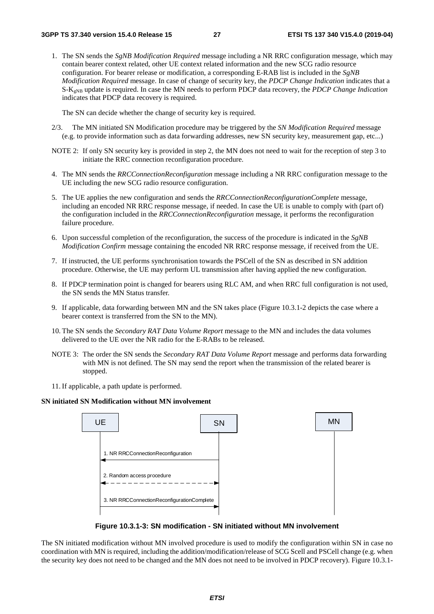1. The SN sends the *SgNB Modification Required* message including a NR RRC configuration message, which may contain bearer context related, other UE context related information and the new SCG radio resource configuration. For bearer release or modification, a corresponding E-RAB list is included in the *SgNB Modification Required* message. In case of change of security key, the *PDCP Change Indication* indicates that a S-KgNB update is required. In case the MN needs to perform PDCP data recovery, the *PDCP Change Indication* indicates that PDCP data recovery is required.

The SN can decide whether the change of security key is required.

- 2/3. The MN initiated SN Modification procedure may be triggered by the *SN Modification Required* message (e.g. to provide information such as data forwarding addresses, new SN security key, measurement gap, etc...)
- NOTE 2: If only SN security key is provided in step 2, the MN does not need to wait for the reception of step 3 to initiate the RRC connection reconfiguration procedure.
- 4. The MN sends the *RRCConnectionReconfiguration* message including a NR RRC configuration message to the UE including the new SCG radio resource configuration.
- 5. The UE applies the new configuration and sends the *RRCConnectionReconfigurationComplete* message, including an encoded NR RRC response message, if needed. In case the UE is unable to comply with (part of) the configuration included in the *RRCConnectionReconfiguration* message, it performs the reconfiguration failure procedure.
- 6. Upon successful completion of the reconfiguration, the success of the procedure is indicated in the *SgNB Modification Confirm* message containing the encoded NR RRC response message, if received from the UE.
- 7. If instructed, the UE performs synchronisation towards the PSCell of the SN as described in SN addition procedure. Otherwise, the UE may perform UL transmission after having applied the new configuration.
- 8. If PDCP termination point is changed for bearers using RLC AM, and when RRC full configuration is not used, the SN sends the MN Status transfer.
- 9. If applicable, data forwarding between MN and the SN takes place (Figure 10.3.1-2 depicts the case where a bearer context is transferred from the SN to the MN).
- 10. The SN sends the *Secondary RAT Data Volume Report* message to the MN and includes the data volumes delivered to the UE over the NR radio for the E-RABs to be released.
- NOTE 3: The order the SN sends the *Secondary RAT Data Volume Report* message and performs data forwarding with MN is not defined. The SN may send the report when the transmission of the related bearer is stopped.
- 11. If applicable, a path update is performed.

#### **SN initiated SN Modification without MN involvement**



**Figure 10.3.1-3: SN modification - SN initiated without MN involvement** 

The SN initiated modification without MN involved procedure is used to modify the configuration within SN in case no coordination with MN is required, including the addition/modification/release of SCG Scell and PSCell change (e.g. when the security key does not need to be changed and the MN does not need to be involved in PDCP recovery). Figure 10.3.1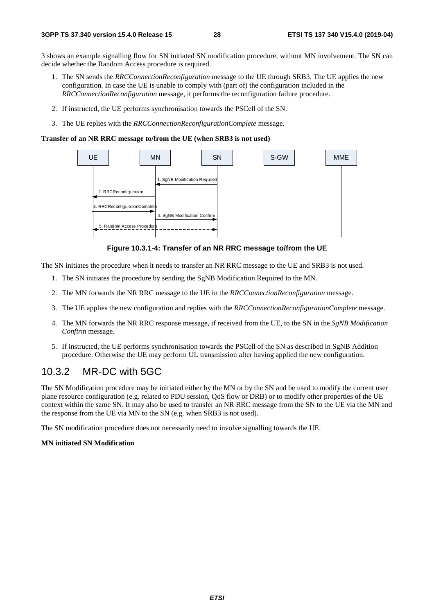3 shows an example signalling flow for SN initiated SN modification procedure, without MN involvement. The SN can decide whether the Random Access procedure is required.

- 1. The SN sends the *RRCConnectionReconfiguration* message to the UE through SRB3. The UE applies the new configuration. In case the UE is unable to comply with (part of) the configuration included in the *RRCConnectionReconfiguration* message, it performs the reconfiguration failure procedure.
- 2. If instructed, the UE performs synchronisation towards the PSCell of the SN.
- 3. The UE replies with the *RRCConnectionReconfigurationComplete* message.

#### **Transfer of an NR RRC message to/from the UE (when SRB3 is not used)**



**Figure 10.3.1-4: Transfer of an NR RRC message to/from the UE** 

The SN initiates the procedure when it needs to transfer an NR RRC message to the UE and SRB3 is not used.

- 1. The SN initiates the procedure by sending the SgNB Modification Required to the MN.
- 2. The MN forwards the NR RRC message to the UE in the *RRCConnectionReconfiguration* message.
- 3. The UE applies the new configuration and replies with the *RRCConnectionReconfigurationComplete* message.
- 4. The MN forwards the NR RRC response message, if received from the UE, to the SN in the *SgNB Modification Confirm* message.
- 5. If instructed, the UE performs synchronisation towards the PSCell of the SN as described in SgNB Addition procedure. Otherwise the UE may perform UL transmission after having applied the new configuration.

### 10.3.2 MR-DC with 5GC

The SN Modification procedure may be initiated either by the MN or by the SN and be used to modify the current user plane resource configuration (e.g. related to PDU session, QoS flow or DRB) or to modify other properties of the UE context within the same SN. It may also be used to transfer an NR RRC message from the SN to the UE via the MN and the response from the UE via MN to the SN (e.g. when SRB3 is not used).

The SN modification procedure does not necessarily need to involve signalling towards the UE.

#### **MN initiated SN Modification**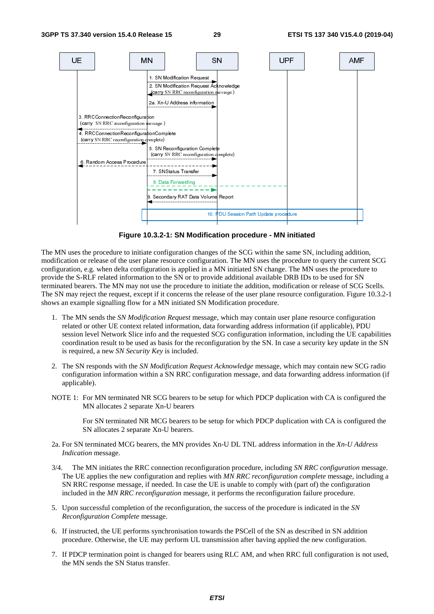

**Figure 10.3.2-1: SN Modification procedure - MN initiated** 

The MN uses the procedure to initiate configuration changes of the SCG within the same SN, including addition, modification or release of the user plane resource configuration. The MN uses the procedure to query the current SCG configuration, e.g. when delta configuration is applied in a MN initiated SN change. The MN uses the procedure to provide the S-RLF related information to the SN or to provide additional available DRB IDs to be used for SN terminated bearers. The MN may not use the procedure to initiate the addition, modification or release of SCG Scells. The SN may reject the request, except if it concerns the release of the user plane resource configuration. Figure 10.3.2-1 shows an example signalling flow for a MN initiated SN Modification procedure.

- 1. The MN sends the *SN Modification Request* message, which may contain user plane resource configuration related or other UE context related information, data forwarding address information (if applicable), PDU session level Network Slice info and the requested SCG configuration information, including the UE capabilities coordination result to be used as basis for the reconfiguration by the SN. In case a security key update in the SN is required, a new *SN Security Key* is included.
- 2. The SN responds with the *SN Modification Request Acknowledge* message, which may contain new SCG radio configuration information within a SN RRC configuration message*,* and data forwarding address information (if applicable).
- NOTE 1: For MN terminated NR SCG bearers to be setup for which PDCP duplication with CA is configured the MN allocates 2 separate Xn-U bearers

 For SN terminated NR MCG bearers to be setup for which PDCP duplication with CA is configured the SN allocates 2 separate Xn-U bearers.

- 2a. For SN terminated MCG bearers, the MN provides Xn-U DL TNL address information in the *Xn-U Address Indication* message.
- 3/4. The MN initiates the RRC connection reconfiguration procedure, including *SN RRC configuration* message. The UE applies the new configuration and replies with *MN RRC reconfiguration complete* message, including a SN RRC response message, if needed. In case the UE is unable to comply with (part of) the configuration included in the *MN RRC reconfiguration* message, it performs the reconfiguration failure procedure.
- 5. Upon successful completion of the reconfiguration, the success of the procedure is indicated in the *SN Reconfiguration Complete* message.
- 6. If instructed, the UE performs synchronisation towards the PSCell of the SN as described in SN addition procedure. Otherwise, the UE may perform UL transmission after having applied the new configuration.
- 7. If PDCP termination point is changed for bearers using RLC AM, and when RRC full configuration is not used, the MN sends the SN Status transfer.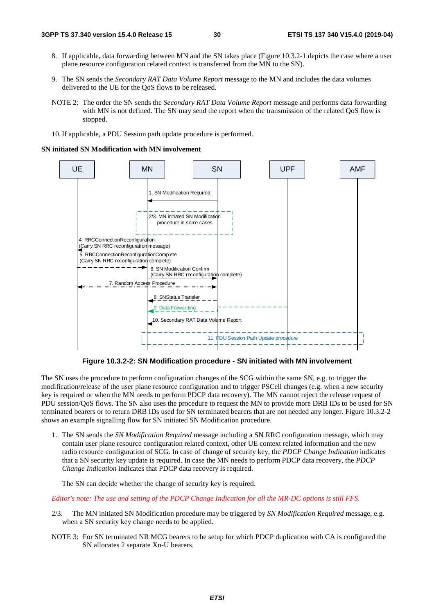- 8. If applicable, data forwarding between MN and the SN takes place (Figure 10.3.2-1 depicts the case where a user plane resource configuration related context is transferred from the MN to the SN).
- 9. The SN sends the *Secondary RAT Data Volume Report* message to the MN and includes the data volumes delivered to the UE for the QoS flows to be released.
- NOTE 2: The order the SN sends the *Secondary RAT Data Volume Report* message and performs data forwarding with MN is not defined. The SN may send the report when the transmission of the related OoS flow is stopped.
- 10. If applicable, a PDU Session path update procedure is performed.

#### **SN initiated SN Modification with MN involvement**



**Figure 10.3.2-2: SN Modification procedure - SN initiated with MN involvement** 

The SN uses the procedure to perform configuration changes of the SCG within the same SN, e.g. to trigger the modification/release of the user plane resource configuration and to trigger PSCell changes (e.g. when a new security key is required or when the MN needs to perform PDCP data recovery). The MN cannot reject the release request of PDU session/QoS flows. The SN also uses the procedure to request the MN to provide more DRB IDs to be used for SN terminated bearers or to return DRB IDs used for SN terminated bearers that are not needed any longer. Figure 10.3.2-2 shows an example signalling flow for SN initiated SN Modification procedure.

1. The SN sends the *SN Modification Required* message including a SN RRC configuration message, which may contain user plane resource configuration related context, other UE context related information and the new radio resource configuration of SCG. In case of change of security key, the *PDCP Change Indication* indicates that a SN security key update is required. In case the MN needs to perform PDCP data recovery, the *PDCP Change Indication* indicates that PDCP data recovery is required.

The SN can decide whether the change of security key is required.

*Editor's note: The use and setting of the PDCP Change Indication for all the MR-DC options is still FFS.*

- 2/3. The MN initiated SN Modification procedure may be triggered by *SN Modification Required* message, e.g. when a SN security key change needs to be applied.
- NOTE 3: For SN terminated NR MCG bearers to be setup for which PDCP duplication with CA is configured the SN allocates 2 separate Xn-U bearers.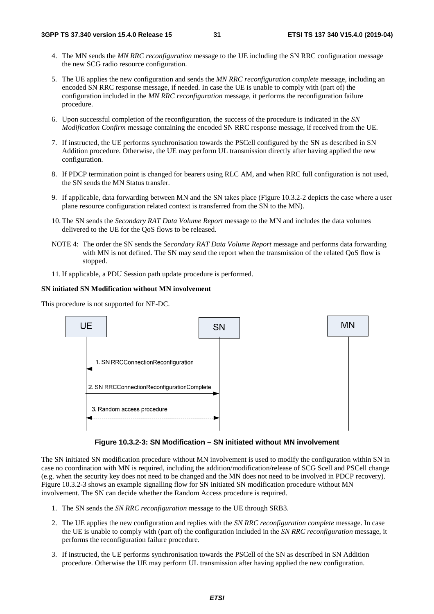- 4. The MN sends the *MN RRC reconfiguration* message to the UE including the SN RRC configuration message the new SCG radio resource configuration.
- 5. The UE applies the new configuration and sends the *MN RRC reconfiguration complete* message, including an encoded SN RRC response message, if needed. In case the UE is unable to comply with (part of) the configuration included in the *MN RRC reconfiguration* message, it performs the reconfiguration failure procedure.
- 6. Upon successful completion of the reconfiguration, the success of the procedure is indicated in the *SN Modification Confirm* message containing the encoded SN RRC response message, if received from the UE.
- 7. If instructed, the UE performs synchronisation towards the PSCell configured by the SN as described in SN Addition procedure. Otherwise, the UE may perform UL transmission directly after having applied the new configuration.
- 8. If PDCP termination point is changed for bearers using RLC AM, and when RRC full configuration is not used, the SN sends the MN Status transfer.
- 9. If applicable, data forwarding between MN and the SN takes place (Figure 10.3.2-2 depicts the case where a user plane resource configuration related context is transferred from the SN to the MN).
- 10. The SN sends the *Secondary RAT Data Volume Report* message to the MN and includes the data volumes delivered to the UE for the QoS flows to be released.
- NOTE 4: The order the SN sends the *Secondary RAT Data Volume Report* message and performs data forwarding with MN is not defined. The SN may send the report when the transmission of the related QoS flow is stopped.
- 11. If applicable, a PDU Session path update procedure is performed.

#### **SN initiated SN Modification without MN involvement**

This procedure is not supported for NE-DC.



**Figure 10.3.2-3: SN Modification – SN initiated without MN involvement** 

The SN initiated SN modification procedure without MN involvement is used to modify the configuration within SN in case no coordination with MN is required, including the addition/modification/release of SCG Scell and PSCell change (e.g. when the security key does not need to be changed and the MN does not need to be involved in PDCP recovery). Figure 10.3.2-3 shows an example signalling flow for SN initiated SN modification procedure without MN involvement. The SN can decide whether the Random Access procedure is required.

- 1. The SN sends the *SN RRC reconfiguration* message to the UE through SRB3.
- 2. The UE applies the new configuration and replies with the *SN RRC reconfiguration complete* message. In case the UE is unable to comply with (part of) the configuration included in the *SN RRC reconfiguration* message, it performs the reconfiguration failure procedure.
- 3. If instructed, the UE performs synchronisation towards the PSCell of the SN as described in SN Addition procedure. Otherwise the UE may perform UL transmission after having applied the new configuration.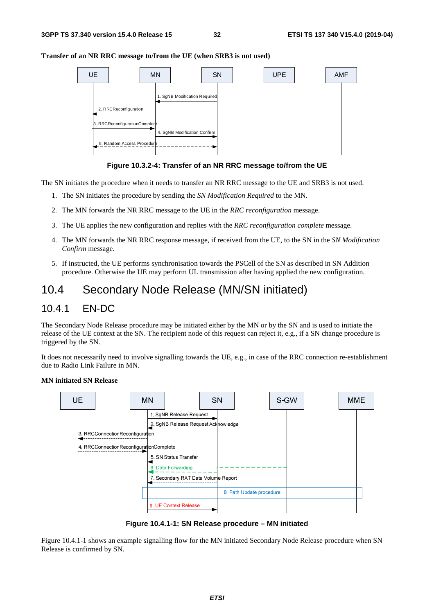#### **Transfer of an NR RRC message to/from the UE (when SRB3 is not used)**



**Figure 10.3.2-4: Transfer of an NR RRC message to/from the UE** 

The SN initiates the procedure when it needs to transfer an NR RRC message to the UE and SRB3 is not used.

- 1. The SN initiates the procedure by sending the *SN Modification Required* to the MN.
- 2. The MN forwards the NR RRC message to the UE in the *RRC reconfiguration* message.
- 3. The UE applies the new configuration and replies with the *RRC reconfiguration complete* message.
- 4. The MN forwards the NR RRC response message, if received from the UE, to the SN in the *SN Modification Confirm* message.
- 5. If instructed, the UE performs synchronisation towards the PSCell of the SN as described in SN Addition procedure. Otherwise the UE may perform UL transmission after having applied the new configuration.

# 10.4 Secondary Node Release (MN/SN initiated)

### 10.4.1 EN-DC

The Secondary Node Release procedure may be initiated either by the MN or by the SN and is used to initiate the release of the UE context at the SN. The recipient node of this request can reject it, e.g., if a SN change procedure is triggered by the SN.

It does not necessarily need to involve signalling towards the UE, e.g., in case of the RRC connection re-establishment due to Radio Link Failure in MN.



#### **MN initiated SN Release**

**Figure 10.4.1-1: SN Release procedure – MN initiated** 

Figure 10.4.1-1 shows an example signalling flow for the MN initiated Secondary Node Release procedure when SN Release is confirmed by SN.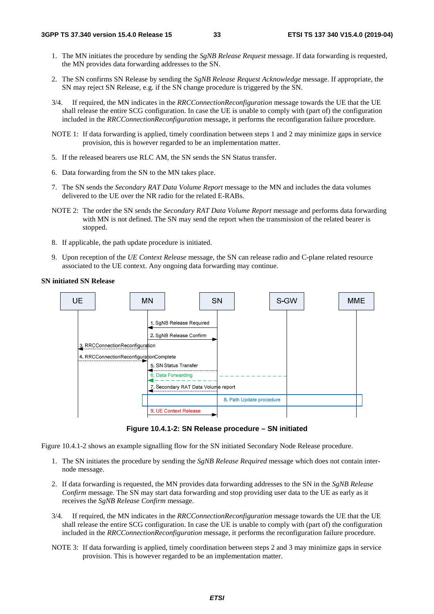- 1. The MN initiates the procedure by sending the *SgNB Release Request* message. If data forwarding is requested, the MN provides data forwarding addresses to the SN.
- 2. The SN confirms SN Release by sending the *SgNB Release Request Acknowledge* message. If appropriate, the SN may reject SN Release, e.g. if the SN change procedure is triggered by the SN.
- 3/4. If required, the MN indicates in the *RRCConnectionReconfiguration* message towards the UE that the UE shall release the entire SCG configuration. In case the UE is unable to comply with (part of) the configuration included in the *RRCConnectionReconfiguration* message, it performs the reconfiguration failure procedure.
- NOTE 1: If data forwarding is applied, timely coordination between steps 1 and 2 may minimize gaps in service provision, this is however regarded to be an implementation matter.
- 5. If the released bearers use RLC AM, the SN sends the SN Status transfer.
- 6. Data forwarding from the SN to the MN takes place.
- 7. The SN sends the *Secondary RAT Data Volume Report* message to the MN and includes the data volumes delivered to the UE over the NR radio for the related E-RABs.
- NOTE 2: The order the SN sends the *Secondary RAT Data Volume Report* message and performs data forwarding with MN is not defined. The SN may send the report when the transmission of the related bearer is stopped.
- 8. If applicable, the path update procedure is initiated.
- 9. Upon reception of the *UE Context Release* message, the SN can release radio and C-plane related resource associated to the UE context. Any ongoing data forwarding may continue.

**SN initiated SN Release** 



**Figure 10.4.1-2: SN Release procedure – SN initiated** 

Figure 10.4.1-2 shows an example signalling flow for the SN initiated Secondary Node Release procedure.

- 1. The SN initiates the procedure by sending the *SgNB Release Required* message which does not contain internode message.
- 2. If data forwarding is requested, the MN provides data forwarding addresses to the SN in the *SgNB Release Confirm* message. The SN may start data forwarding and stop providing user data to the UE as early as it receives the *SgNB Release Confirm* message.
- 3/4. If required, the MN indicates in the *RRCConnectionReconfiguration* message towards the UE that the UE shall release the entire SCG configuration. In case the UE is unable to comply with (part of) the configuration included in the *RRCConnectionReconfiguration* message, it performs the reconfiguration failure procedure.
- NOTE 3: If data forwarding is applied, timely coordination between steps 2 and 3 may minimize gaps in service provision. This is however regarded to be an implementation matter.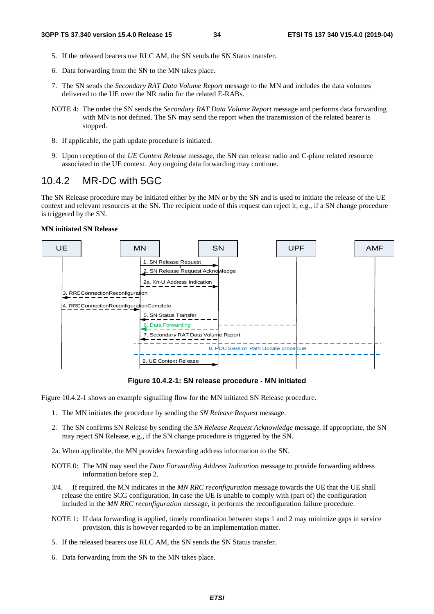- 5. If the released bearers use RLC AM, the SN sends the SN Status transfer.
- 6. Data forwarding from the SN to the MN takes place.
- 7. The SN sends the *Secondary RAT Data Volume Report* message to the MN and includes the data volumes delivered to the UE over the NR radio for the related E-RABs.
- NOTE 4: The order the SN sends the *Secondary RAT Data Volume Report* message and performs data forwarding with MN is not defined. The SN may send the report when the transmission of the related bearer is stopped.
- 8. If applicable, the path update procedure is initiated.
- 9. Upon reception of the *UE Context Release* message, the SN can release radio and C-plane related resource associated to the UE context. Any ongoing data forwarding may continue.

### 10.4.2 MR-DC with 5GC

The SN Release procedure may be initiated either by the MN or by the SN and is used to initiate the release of the UE context and relevant resources at the SN. The recipient node of this request can reject it, e.g., if a SN change procedure is triggered by the SN.

#### **MN initiated SN Release**



**Figure 10.4.2-1: SN release procedure - MN initiated** 

Figure 10.4.2-1 shows an example signalling flow for the MN initiated SN Release procedure.

- 1. The MN initiates the procedure by sending the *SN Release Request* message.
- 2. The SN confirms SN Release by sending the *SN Release Request Acknowledge* message. If appropriate, the SN may reject SN Release, e.g., if the SN change procedure is triggered by the SN.
- 2a. When applicable, the MN provides forwarding address information to the SN.
- NOTE 0: The MN may send the *Data Forwarding Address Indication* message to provide forwarding address information before step 2.
- 3/4. If required, the MN indicates in the *MN RRC reconfiguration* message towards the UE that the UE shall release the entire SCG configuration. In case the UE is unable to comply with (part of) the configuration included in the *MN RRC reconfiguration* message, it performs the reconfiguration failure procedure.
- NOTE 1: If data forwarding is applied, timely coordination between steps 1 and 2 may minimize gaps in service provision, this is however regarded to be an implementation matter.
- 5. If the released bearers use RLC AM, the SN sends the SN Status transfer.
- 6. Data forwarding from the SN to the MN takes place.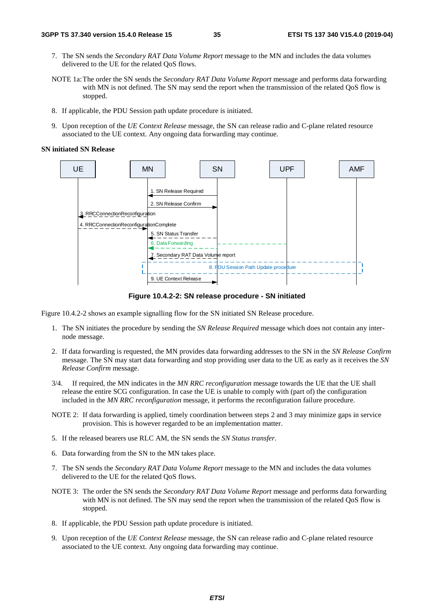- 7. The SN sends the *Secondary RAT Data Volume Report* message to the MN and includes the data volumes delivered to the UE for the related QoS flows.
- NOTE 1a: The order the SN sends the *Secondary RAT Data Volume Report* message and performs data forwarding with MN is not defined. The SN may send the report when the transmission of the related QoS flow is stopped.
- 8. If applicable, the PDU Session path update procedure is initiated.
- 9. Upon reception of the *UE Context Release* message, the SN can release radio and C-plane related resource associated to the UE context. Any ongoing data forwarding may continue.

#### **SN initiated SN Release**



**Figure 10.4.2-2: SN release procedure - SN initiated** 

Figure 10.4.2-2 shows an example signalling flow for the SN initiated SN Release procedure.

- 1. The SN initiates the procedure by sending the *SN Release Required* message which does not contain any internode message.
- 2. If data forwarding is requested, the MN provides data forwarding addresses to the SN in the *SN Release Confirm* message. The SN may start data forwarding and stop providing user data to the UE as early as it receives the *SN Release Confirm* message.
- 3/4. If required, the MN indicates in the *MN RRC reconfiguration* message towards the UE that the UE shall release the entire SCG configuration. In case the UE is unable to comply with (part of) the configuration included in the *MN RRC reconfiguration* message, it performs the reconfiguration failure procedure.
- NOTE 2: If data forwarding is applied, timely coordination between steps 2 and 3 may minimize gaps in service provision. This is however regarded to be an implementation matter.
- 5. If the released bearers use RLC AM, the SN sends the *SN Status transfer*.
- 6. Data forwarding from the SN to the MN takes place.
- 7. The SN sends the *Secondary RAT Data Volume Report* message to the MN and includes the data volumes delivered to the UE for the related QoS flows.
- NOTE 3: The order the SN sends the *Secondary RAT Data Volume Report* message and performs data forwarding with MN is not defined. The SN may send the report when the transmission of the related QoS flow is stopped.
- 8. If applicable, the PDU Session path update procedure is initiated.
- 9. Upon reception of the *UE Context Release* message, the SN can release radio and C-plane related resource associated to the UE context. Any ongoing data forwarding may continue.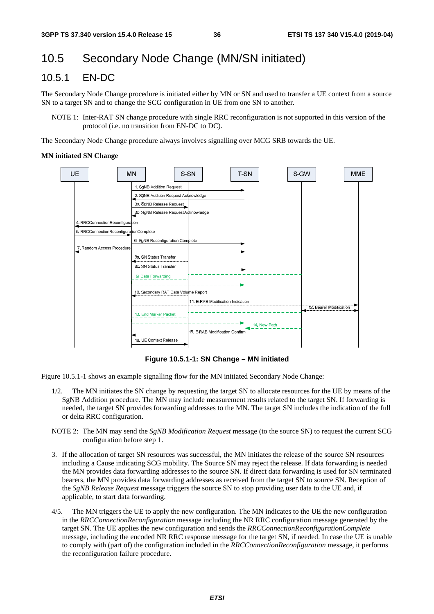# 10.5 Secondary Node Change (MN/SN initiated)

### 10.5.1 EN-DC

The Secondary Node Change procedure is initiated either by MN or SN and used to transfer a UE context from a source SN to a target SN and to change the SCG configuration in UE from one SN to another.

NOTE 1: Inter-RAT SN change procedure with single RRC reconfiguration is not supported in this version of the protocol (i.e. no transition from EN-DC to DC).

The Secondary Node Change procedure always involves signalling over MCG SRB towards the UE.

#### **MN initiated SN Change**



**Figure 10.5.1-1: SN Change – MN initiated** 

Figure 10.5.1-1 shows an example signalling flow for the MN initiated Secondary Node Change:

- 1/2. The MN initiates the SN change by requesting the target SN to allocate resources for the UE by means of the SgNB Addition procedure. The MN may include measurement results related to the target SN. If forwarding is needed, the target SN provides forwarding addresses to the MN. The target SN includes the indication of the full or delta RRC configuration.
- NOTE 2: The MN may send the *SgNB Modification Request* message (to the source SN) to request the current SCG configuration before step 1.
- 3. If the allocation of target SN resources was successful, the MN initiates the release of the source SN resources including a Cause indicating SCG mobility. The Source SN may reject the release. If data forwarding is needed the MN provides data forwarding addresses to the source SN. If direct data forwarding is used for SN terminated bearers, the MN provides data forwarding addresses as received from the target SN to source SN. Reception of the *SgNB Release Request* message triggers the source SN to stop providing user data to the UE and, if applicable, to start data forwarding.
- 4/5. The MN triggers the UE to apply the new configuration. The MN indicates to the UE the new configuration in the *RRCConnectionReconfiguration* message including the NR RRC configuration message generated by the target SN. The UE applies the new configuration and sends the *RRCConnectionReconfigurationComplete* message, including the encoded NR RRC response message for the target SN, if needed. In case the UE is unable to comply with (part of) the configuration included in the *RRCConnectionReconfiguration* message, it performs the reconfiguration failure procedure.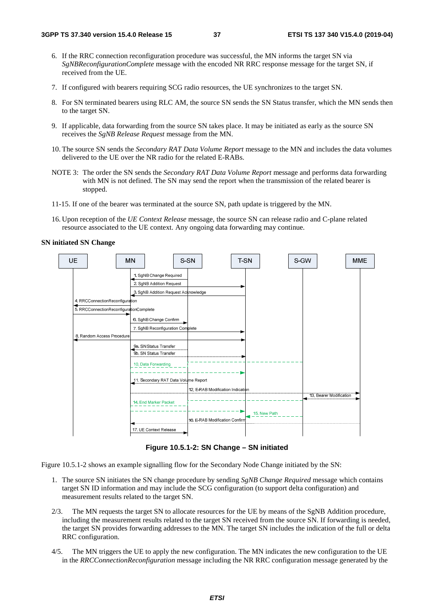- 6. If the RRC connection reconfiguration procedure was successful, the MN informs the target SN via *SgNBReconfigurationComplete* message with the encoded NR RRC response message for the target SN, if received from the UE.
- 7. If configured with bearers requiring SCG radio resources, the UE synchronizes to the target SN.
- 8. For SN terminated bearers using RLC AM, the source SN sends the SN Status transfer, which the MN sends then to the target SN.
- 9. If applicable, data forwarding from the source SN takes place. It may be initiated as early as the source SN receives the *SgNB Release Request* message from the MN.
- 10. The source SN sends the *Secondary RAT Data Volume Report* message to the MN and includes the data volumes delivered to the UE over the NR radio for the related E-RABs.
- NOTE 3: The order the SN sends the *Secondary RAT Data Volume Report* message and performs data forwarding with MN is not defined. The SN may send the report when the transmission of the related bearer is stopped.
- 11-15. If one of the bearer was terminated at the source SN, path update is triggered by the MN.
- 16. Upon reception of the *UE Context Release* message, the source SN can release radio and C-plane related resource associated to the UE context. Any ongoing data forwarding may continue.

#### **SN initiated SN Change**



**Figure 10.5.1-2: SN Change – SN initiated** 

Figure 10.5.1-2 shows an example signalling flow for the Secondary Node Change initiated by the SN:

- 1. The source SN initiates the SN change procedure by sending *SgNB Change Required* message which contains target SN ID information and may include the SCG configuration (to support delta configuration) and measurement results related to the target SN.
- 2/3. The MN requests the target SN to allocate resources for the UE by means of the SgNB Addition procedure, including the measurement results related to the target SN received from the source SN. If forwarding is needed, the target SN provides forwarding addresses to the MN. The target SN includes the indication of the full or delta RRC configuration.
- 4/5. The MN triggers the UE to apply the new configuration. The MN indicates the new configuration to the UE in the *RRCConnectionReconfiguration* message including the NR RRC configuration message generated by the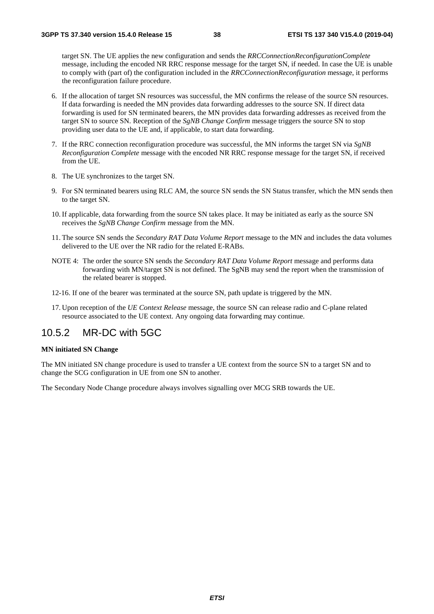target SN. The UE applies the new configuration and sends the *RRCConnectionReconfigurationComplete* message, including the encoded NR RRC response message for the target SN, if needed. In case the UE is unable to comply with (part of) the configuration included in the *RRCConnectionReconfiguration* message, it performs the reconfiguration failure procedure.

- 6. If the allocation of target SN resources was successful, the MN confirms the release of the source SN resources. If data forwarding is needed the MN provides data forwarding addresses to the source SN. If direct data forwarding is used for SN terminated bearers, the MN provides data forwarding addresses as received from the target SN to source SN. Reception of the *SgNB Change Confirm* message triggers the source SN to stop providing user data to the UE and, if applicable, to start data forwarding.
- 7. If the RRC connection reconfiguration procedure was successful, the MN informs the target SN via *SgNB Reconfiguration Complete* message with the encoded NR RRC response message for the target SN, if received from the UE.
- 8. The UE synchronizes to the target SN.
- 9. For SN terminated bearers using RLC AM, the source SN sends the SN Status transfer, which the MN sends then to the target SN.
- 10. If applicable, data forwarding from the source SN takes place. It may be initiated as early as the source SN receives the *SgNB Change Confirm* message from the MN.
- 11. The source SN sends the *Secondary RAT Data Volume Report* message to the MN and includes the data volumes delivered to the UE over the NR radio for the related E-RABs.
- NOTE 4: The order the source SN sends the *Secondary RAT Data Volume Report* message and performs data forwarding with MN/target SN is not defined. The SgNB may send the report when the transmission of the related bearer is stopped.
- 12-16. If one of the bearer was terminated at the source SN, path update is triggered by the MN.
- 17. Upon reception of the *UE Context Release* message, the source SN can release radio and C-plane related resource associated to the UE context. Any ongoing data forwarding may continue.

### 10.5.2 MR-DC with 5GC

#### **MN initiated SN Change**

The MN initiated SN change procedure is used to transfer a UE context from the source SN to a target SN and to change the SCG configuration in UE from one SN to another.

The Secondary Node Change procedure always involves signalling over MCG SRB towards the UE.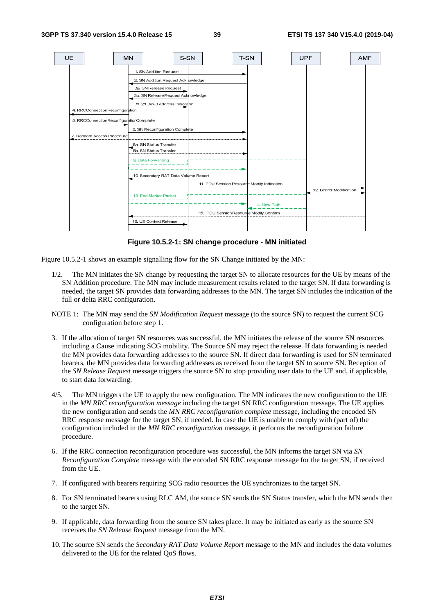

**Figure 10.5.2-1: SN change procedure - MN initiated** 

Figure 10.5.2-1 shows an example signalling flow for the SN Change initiated by the MN:

- 1/2. The MN initiates the SN change by requesting the target SN to allocate resources for the UE by means of the SN Addition procedure. The MN may include measurement results related to the target SN. If data forwarding is needed, the target SN provides data forwarding addresses to the MN. The target SN includes the indication of the full or delta RRC configuration.
- NOTE 1: The MN may send the *SN Modification Request* message (to the source SN) to request the current SCG configuration before step 1.
- 3. If the allocation of target SN resources was successful, the MN initiates the release of the source SN resources including a Cause indicating SCG mobility. The Source SN may reject the release. If data forwarding is needed the MN provides data forwarding addresses to the source SN. If direct data forwarding is used for SN terminated bearers, the MN provides data forwarding addresses as received from the target SN to source SN. Reception of the *SN Release Request* message triggers the source SN to stop providing user data to the UE and, if applicable, to start data forwarding.
- 4/5. The MN triggers the UE to apply the new configuration. The MN indicates the new configuration to the UE in the *MN RRC reconfiguration message* including the target SN RRC configuration message. The UE applies the new configuration and sends the *MN RRC reconfiguration complete* message, including the encoded SN RRC response message for the target SN, if needed. In case the UE is unable to comply with (part of) the configuration included in the *MN RRC reconfiguration* message, it performs the reconfiguration failure procedure.
- 6. If the RRC connection reconfiguration procedure was successful, the MN informs the target SN via *SN Reconfiguration Complete* message with the encoded SN RRC response message for the target SN, if received from the UE.
- 7. If configured with bearers requiring SCG radio resources the UE synchronizes to the target SN.
- 8. For SN terminated bearers using RLC AM, the source SN sends the SN Status transfer, which the MN sends then to the target SN.
- 9. If applicable, data forwarding from the source SN takes place. It may be initiated as early as the source SN receives the *SN Release Request* message from the MN.
- 10. The source SN sends the *Secondary RAT Data Volume Report* message to the MN and includes the data volumes delivered to the UE for the related QoS flows.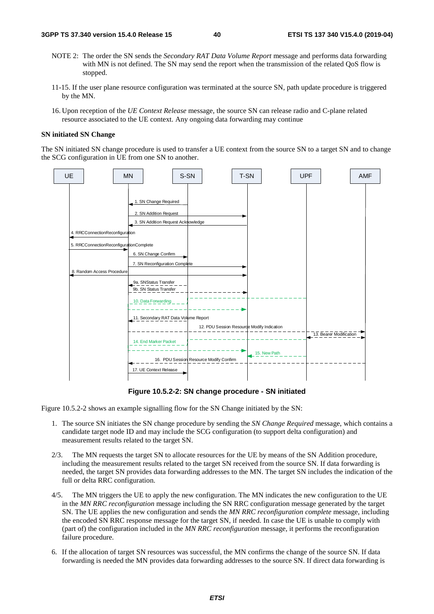- NOTE 2: The order the SN sends the *Secondary RAT Data Volume Report* message and performs data forwarding with MN is not defined. The SN may send the report when the transmission of the related QoS flow is stopped.
- 11-15. If the user plane resource configuration was terminated at the source SN, path update procedure is triggered by the MN.
- 16. Upon reception of the *UE Context Release* message, the source SN can release radio and C-plane related resource associated to the UE context. Any ongoing data forwarding may continue

#### **SN initiated SN Change**

The SN initiated SN change procedure is used to transfer a UE context from the source SN to a target SN and to change the SCG configuration in UE from one SN to another.



**Figure 10.5.2-2: SN change procedure - SN initiated** 

Figure 10.5.2-2 shows an example signalling flow for the SN Change initiated by the SN:

- 1. The source SN initiates the SN change procedure by sending the *SN Change Required* message, which contains a candidate target node ID and may include the SCG configuration (to support delta configuration) and measurement results related to the target SN.
- 2/3. The MN requests the target SN to allocate resources for the UE by means of the SN Addition procedure, including the measurement results related to the target SN received from the source SN. If data forwarding is needed, the target SN provides data forwarding addresses to the MN. The target SN includes the indication of the full or delta RRC configuration.
- 4/5. The MN triggers the UE to apply the new configuration. The MN indicates the new configuration to the UE in the *MN RRC reconfiguration* message including the SN RRC configuration message generated by the target SN. The UE applies the new configuration and sends the *MN RRC reconfiguration complete* message, including the encoded SN RRC response message for the target SN, if needed. In case the UE is unable to comply with (part of) the configuration included in the *MN RRC reconfiguration* message, it performs the reconfiguration failure procedure.
- 6. If the allocation of target SN resources was successful, the MN confirms the change of the source SN. If data forwarding is needed the MN provides data forwarding addresses to the source SN. If direct data forwarding is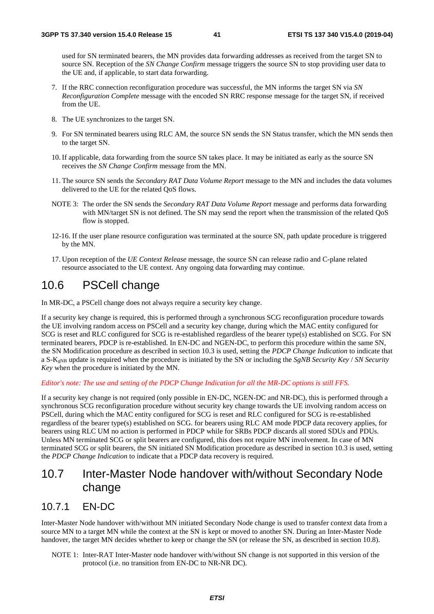used for SN terminated bearers, the MN provides data forwarding addresses as received from the target SN to source SN. Reception of the *SN Change Confirm* message triggers the source SN to stop providing user data to the UE and, if applicable, to start data forwarding.

- 7. If the RRC connection reconfiguration procedure was successful, the MN informs the target SN via *SN Reconfiguration Complete* message with the encoded SN RRC response message for the target SN, if received from the UE.
- 8. The UE synchronizes to the target SN.
- 9. For SN terminated bearers using RLC AM, the source SN sends the SN Status transfer, which the MN sends then to the target SN.
- 10. If applicable, data forwarding from the source SN takes place. It may be initiated as early as the source SN receives the *SN Change Confirm* message from the MN.
- 11. The source SN sends the *Secondary RAT Data Volume Report* message to the MN and includes the data volumes delivered to the UE for the related QoS flows.
- NOTE 3: The order the SN sends the *Secondary RAT Data Volume Report* message and performs data forwarding with MN/target SN is not defined. The SN may send the report when the transmission of the related OoS flow is stopped.
- 12-16. If the user plane resource configuration was terminated at the source SN, path update procedure is triggered by the MN.
- 17. Upon reception of the *UE Context Release* message, the source SN can release radio and C-plane related resource associated to the UE context. Any ongoing data forwarding may continue.

# 10.6 PSCell change

In MR-DC, a PSCell change does not always require a security key change.

If a security key change is required, this is performed through a synchronous SCG reconfiguration procedure towards the UE involving random access on PSCell and a security key change, during which the MAC entity configured for SCG is reset and RLC configured for SCG is re-established regardless of the bearer type(s) established on SCG. For SN terminated bearers, PDCP is re-established. In EN-DC and NGEN-DC, to perform this procedure within the same SN, the SN Modification procedure as described in section 10.3 is used, setting the *PDCP Change Indication* to indicate that a S-KgNB update is required when the procedure is initiated by the SN or including the *SgNB Security Key* / *SN Security Key* when the procedure is initiated by the MN.

#### *Editor's note: The use and setting of the PDCP Change Indication for all the MR-DC options is still FFS.*

If a security key change is not required (only possible in EN-DC, NGEN-DC and NR-DC), this is performed through a synchronous SCG reconfiguration procedure without security key change towards the UE involving random access on PSCell, during which the MAC entity configured for SCG is reset and RLC configured for SCG is re-established regardless of the bearer type(s) established on SCG. for bearers using RLC AM mode PDCP data recovery applies, for bearers using RLC UM no action is performed in PDCP while for SRBs PDCP discards all stored SDUs and PDUs. Unless MN terminated SCG or split bearers are configured, this does not require MN involvement. In case of MN terminated SCG or split bearers, the SN initiated SN Modification procedure as described in section 10.3 is used, setting the *PDCP Change Indication* to indicate that a PDCP data recovery is required.

# 10.7 Inter-Master Node handover with/without Secondary Node change

### 10.7.1 EN-DC

Inter-Master Node handover with/without MN initiated Secondary Node change is used to transfer context data from a source MN to a target MN while the context at the SN is kept or moved to another SN. During an Inter-Master Node handover, the target MN decides whether to keep or change the SN (or release the SN, as described in section 10.8).

NOTE 1: Inter-RAT Inter-Master node handover with/without SN change is not supported in this version of the protocol (i.e. no transition from EN-DC to NR-NR DC).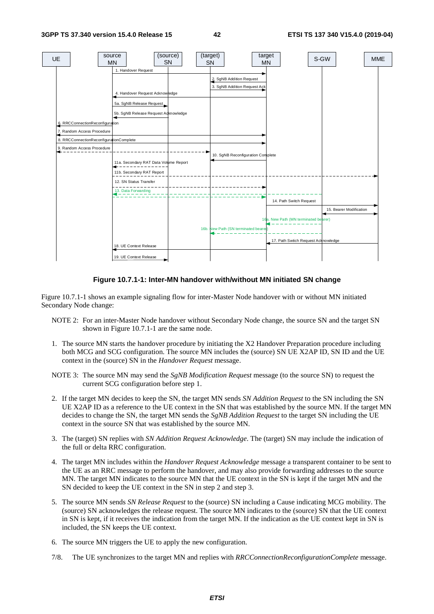

**Figure 10.7.1-1: Inter-MN handover with/without MN initiated SN change** 

Figure 10.7.1-1 shows an example signaling flow for inter-Master Node handover with or without MN initiated Secondary Node change:

- NOTE 2: For an inter-Master Node handover without Secondary Node change, the source SN and the target SN shown in Figure 10.7.1-1 are the same node.
- 1. The source MN starts the handover procedure by initiating the X2 Handover Preparation procedure including both MCG and SCG configuration. The source MN includes the (source) SN UE X2AP ID, SN ID and the UE context in the (source) SN in the *Handover Request* message.
- NOTE 3: The source MN may send the *SgNB Modification Request* message (to the source SN) to request the current SCG configuration before step 1.
- 2. If the target MN decides to keep the SN, the target MN sends *SN Addition Request* to the SN including the SN UE X2AP ID as a reference to the UE context in the SN that was established by the source MN. If the target MN decides to change the SN, the target MN sends the *SgNB Addition Request* to the target SN including the UE context in the source SN that was established by the source MN.
- 3. The (target) SN replies with *SN Addition Request Acknowledge*. The (target) SN may include the indication of the full or delta RRC configuration.
- 4. The target MN includes within the *Handover Request Acknowledge* message a transparent container to be sent to the UE as an RRC message to perform the handover, and may also provide forwarding addresses to the source MN. The target MN indicates to the source MN that the UE context in the SN is kept if the target MN and the SN decided to keep the UE context in the SN in step 2 and step 3.
- 5. The source MN sends *SN Release Request* to the (source) SN including a Cause indicating MCG mobility. The (source) SN acknowledges the release request. The source MN indicates to the (source) SN that the UE context in SN is kept, if it receives the indication from the target MN. If the indication as the UE context kept in SN is included, the SN keeps the UE context.
- 6. The source MN triggers the UE to apply the new configuration.
- 7/8. The UE synchronizes to the target MN and replies with *RRCConnectionReconfigurationComplete* message.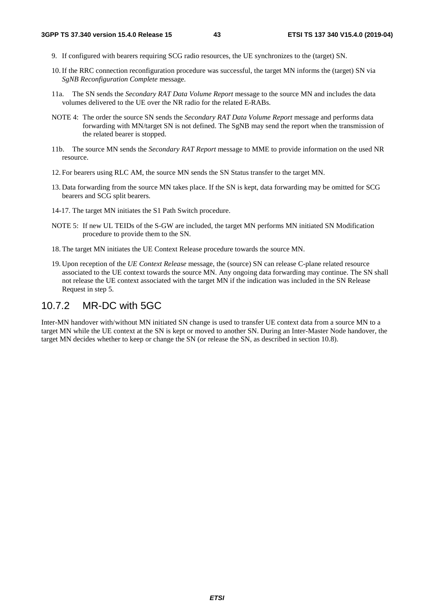- 9. If configured with bearers requiring SCG radio resources, the UE synchronizes to the (target) SN.
- 10. If the RRC connection reconfiguration procedure was successful, the target MN informs the (target) SN via *SgNB Reconfiguration Complete* message.
- 11a. The SN sends the *Secondary RAT Data Volume Report* message to the source MN and includes the data volumes delivered to the UE over the NR radio for the related E-RABs.
- NOTE 4: The order the source SN sends the *Secondary RAT Data Volume Report* message and performs data forwarding with MN/target SN is not defined. The SgNB may send the report when the transmission of the related bearer is stopped.
- 11b. The source MN sends the *Secondary RAT Report* message to MME to provide information on the used NR resource.
- 12. For bearers using RLC AM, the source MN sends the SN Status transfer to the target MN.
- 13. Data forwarding from the source MN takes place. If the SN is kept, data forwarding may be omitted for SCG bearers and SCG split bearers.
- 14-17. The target MN initiates the S1 Path Switch procedure.
- NOTE 5: If new UL TEIDs of the S-GW are included, the target MN performs MN initiated SN Modification procedure to provide them to the SN.
- 18. The target MN initiates the UE Context Release procedure towards the source MN.
- 19. Upon reception of the *UE Context Release* message, the (source) SN can release C-plane related resource associated to the UE context towards the source MN. Any ongoing data forwarding may continue. The SN shall not release the UE context associated with the target MN if the indication was included in the SN Release Request in step 5.

### 10.7.2 MR-DC with 5GC

Inter-MN handover with/without MN initiated SN change is used to transfer UE context data from a source MN to a target MN while the UE context at the SN is kept or moved to another SN. During an Inter-Master Node handover, the target MN decides whether to keep or change the SN (or release the SN, as described in section 10.8).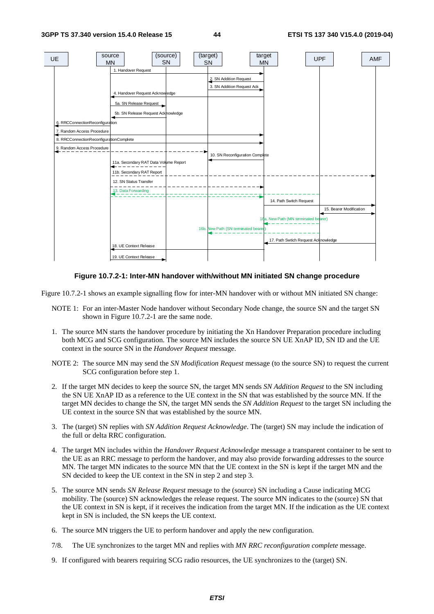

**Figure 10.7.2-1: Inter-MN handover with/without MN initiated SN change procedure** 

Figure 10.7.2-1 shows an example signalling flow for inter-MN handover with or without MN initiated SN change:

- NOTE 1: For an inter-Master Node handover without Secondary Node change, the source SN and the target SN shown in Figure 10.7.2-1 are the same node.
- 1. The source MN starts the handover procedure by initiating the Xn Handover Preparation procedure including both MCG and SCG configuration. The source MN includes the source SN UE XnAP ID, SN ID and the UE context in the source SN in the *Handover Request* message.
- NOTE 2: The source MN may send the *SN Modification Request* message (to the source SN) to request the current SCG configuration before step 1.
- 2. If the target MN decides to keep the source SN, the target MN sends *SN Addition Request* to the SN including the SN UE XnAP ID as a reference to the UE context in the SN that was established by the source MN. If the target MN decides to change the SN, the target MN sends the *SN Addition Request* to the target SN including the UE context in the source SN that was established by the source MN.
- 3. The (target) SN replies with *SN Addition Request Acknowledge*. The (target) SN may include the indication of the full or delta RRC configuration.
- 4. The target MN includes within the *Handover Request Acknowledge* message a transparent container to be sent to the UE as an RRC message to perform the handover, and may also provide forwarding addresses to the source MN. The target MN indicates to the source MN that the UE context in the SN is kept if the target MN and the SN decided to keep the UE context in the SN in step 2 and step 3.
- 5. The source MN sends *SN Release Request* message to the (source) SN including a Cause indicating MCG mobility. The (source) SN acknowledges the release request. The source MN indicates to the (source) SN that the UE context in SN is kept, if it receives the indication from the target MN. If the indication as the UE context kept in SN is included, the SN keeps the UE context.
- 6. The source MN triggers the UE to perform handover and apply the new configuration.
- 7/8. The UE synchronizes to the target MN and replies with *MN RRC reconfiguration complete* message.
- 9. If configured with bearers requiring SCG radio resources, the UE synchronizes to the (target) SN.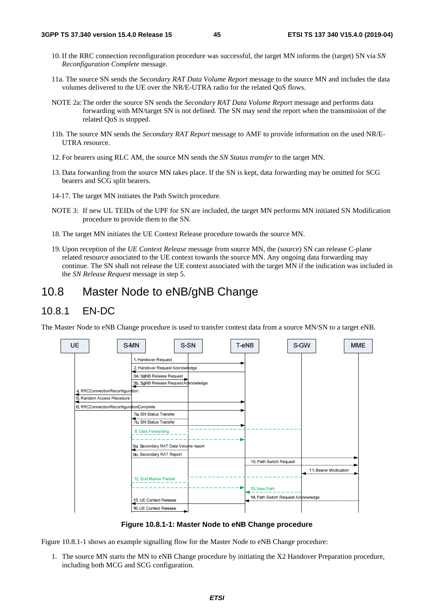- 10. If the RRC connection reconfiguration procedure was successful, the target MN informs the (target) SN via *SN Reconfiguration Complete* message.
- 11a. The source SN sends the *Secondary RAT Data Volume Report* message to the source MN and includes the data volumes delivered to the UE over the NR/E-UTRA radio for the related QoS flows.
- NOTE 2a: The order the source SN sends the *Secondary RAT Data Volume Report* message and performs data forwarding with MN/target SN is not defined. The SN may send the report when the transmission of the related QoS is stopped.
- 11b. The source MN sends the *Secondary RAT Report* message to AMF to provide information on the used NR/E-UTRA resource.
- 12. For bearers using RLC AM, the source MN sends the *SN Status transfer* to the target MN.
- 13. Data forwarding from the source MN takes place. If the SN is kept, data forwarding may be omitted for SCG bearers and SCG split bearers.
- 14-17. The target MN initiates the Path Switch procedure*.*
- NOTE 3: If new UL TEIDs of the UPF for SN are included, the target MN performs MN initiated SN Modification procedure to provide them to the SN.
- 18. The target MN initiates the UE Context Release procedure towards the source MN.
- 19. Upon reception of the *UE Context Release* message from source MN, the (source) SN can release C-plane related resource associated to the UE context towards the source MN. Any ongoing data forwarding may continue. The SN shall not release the UE context associated with the target MN if the indication was included in the *SN Release Request* message in step 5.

# 10.8 Master Node to eNB/gNB Change

### 10.8.1 EN-DC

The Master Node to eNB Change procedure is used to transfer context data from a source MN/SN to a target eNB.



**Figure 10.8.1-1: Master Node to eNB Change procedure** 

Figure 10.8.1-1 shows an example signalling flow for the Master Node to eNB Change procedure:

1. The source MN starts the MN to eNB Change procedure by initiating the X2 Handover Preparation procedure, including both MCG and SCG configuration.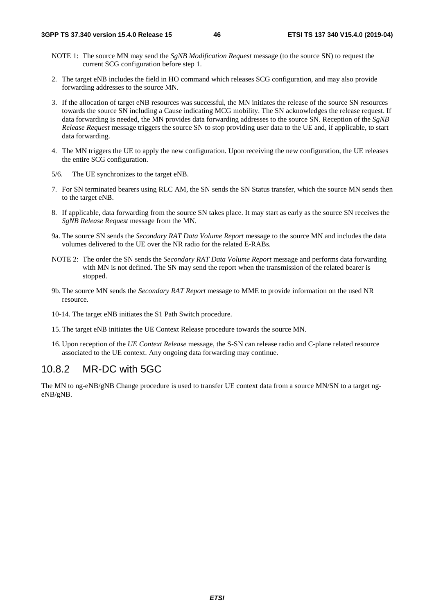- NOTE 1: The source MN may send the *SgNB Modification Request* message (to the source SN) to request the current SCG configuration before step 1.
- 2. The target eNB includes the field in HO command which releases SCG configuration, and may also provide forwarding addresses to the source MN.
- 3. If the allocation of target eNB resources was successful, the MN initiates the release of the source SN resources towards the source SN including a Cause indicating MCG mobility. The SN acknowledges the release request. If data forwarding is needed, the MN provides data forwarding addresses to the source SN. Reception of the *SgNB Release Request* message triggers the source SN to stop providing user data to the UE and, if applicable, to start data forwarding.
- 4. The MN triggers the UE to apply the new configuration. Upon receiving the new configuration, the UE releases the entire SCG configuration.
- 5/6. The UE synchronizes to the target eNB.
- 7. For SN terminated bearers using RLC AM, the SN sends the SN Status transfer, which the source MN sends then to the target eNB.
- 8. If applicable, data forwarding from the source SN takes place. It may start as early as the source SN receives the *SgNB Release Request* message from the MN.
- 9a. The source SN sends the *Secondary RAT Data Volume Report* message to the source MN and includes the data volumes delivered to the UE over the NR radio for the related E-RABs.
- NOTE 2: The order the SN sends the *Secondary RAT Data Volume Report* message and performs data forwarding with MN is not defined. The SN may send the report when the transmission of the related bearer is stopped.
- 9b. The source MN sends the *Secondary RAT Report* message to MME to provide information on the used NR resource.
- 10-14. The target eNB initiates the S1 Path Switch procedure.
- 15. The target eNB initiates the UE Context Release procedure towards the source MN.
- 16. Upon reception of the *UE Context Release* message, the S-SN can release radio and C-plane related resource associated to the UE context. Any ongoing data forwarding may continue.

## 10.8.2 MR-DC with 5GC

The MN to ng-eNB/gNB Change procedure is used to transfer UE context data from a source MN/SN to a target ngeNB/gNB.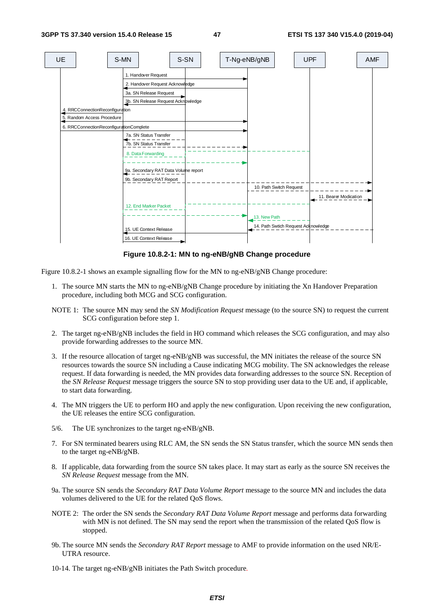

#### **Figure 10.8.2-1: MN to ng-eNB/gNB Change procedure**

Figure 10.8.2-1 shows an example signalling flow for the MN to ng-eNB/gNB Change procedure:

- 1. The source MN starts the MN to ng-eNB/gNB Change procedure by initiating the Xn Handover Preparation procedure, including both MCG and SCG configuration.
- NOTE 1: The source MN may send the *SN Modification Request* message (to the source SN) to request the current SCG configuration before step 1.
- 2. The target ng-eNB/gNB includes the field in HO command which releases the SCG configuration, and may also provide forwarding addresses to the source MN.
- 3. If the resource allocation of target ng-eNB/gNB was successful, the MN initiates the release of the source SN resources towards the source SN including a Cause indicating MCG mobility. The SN acknowledges the release request. If data forwarding is needed, the MN provides data forwarding addresses to the source SN. Reception of the *SN Release Request* message triggers the source SN to stop providing user data to the UE and, if applicable, to start data forwarding.
- 4. The MN triggers the UE to perform HO and apply the new configuration. Upon receiving the new configuration, the UE releases the entire SCG configuration.
- 5/6. The UE synchronizes to the target ng-eNB/gNB.
- 7. For SN terminated bearers using RLC AM, the SN sends the SN Status transfer, which the source MN sends then to the target ng-eNB/gNB.
- 8. If applicable, data forwarding from the source SN takes place. It may start as early as the source SN receives the *SN Release Request* message from the MN.
- 9a. The source SN sends the *Secondary RAT Data Volume Report* message to the source MN and includes the data volumes delivered to the UE for the related QoS flows.
- NOTE 2: The order the SN sends the *Secondary RAT Data Volume Report* message and performs data forwarding with MN is not defined. The SN may send the report when the transmission of the related QoS flow is stopped.
- 9b. The source MN sends the *Secondary RAT Report* message to AMF to provide information on the used NR/E-UTRA resource.
- 10-14. The target ng-eNB/gNB initiates the Path Switch procedure*.*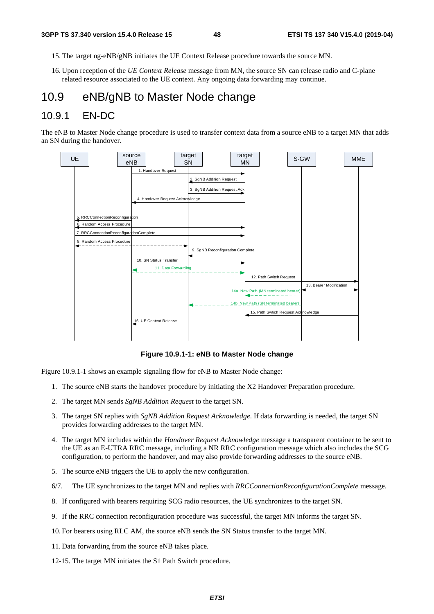- 15. The target ng-eNB/gNB initiates the UE Context Release procedure towards the source MN.
- 16. Upon reception of the *UE Context Release* message from MN, the source SN can release radio and C-plane related resource associated to the UE context. Any ongoing data forwarding may continue.

# 10.9 eNB/gNB to Master Node change

### 10.9.1 EN-DC

The eNB to Master Node change procedure is used to transfer context data from a source eNB to a target MN that adds an SN during the handover.



**Figure 10.9.1-1: eNB to Master Node change** 

Figure 10.9.1-1 shows an example signaling flow for eNB to Master Node change:

- 1. The source eNB starts the handover procedure by initiating the X2 Handover Preparation procedure.
- 2. The target MN sends *SgNB Addition Request* to the target SN.
- 3. The target SN replies with *SgNB Addition Request Acknowledge*. If data forwarding is needed, the target SN provides forwarding addresses to the target MN.
- 4. The target MN includes within the *Handover Request Acknowledge* message a transparent container to be sent to the UE as an E-UTRA RRC message, including a NR RRC configuration message which also includes the SCG configuration, to perform the handover, and may also provide forwarding addresses to the source eNB.
- 5. The source eNB triggers the UE to apply the new configuration.
- 6/7. The UE synchronizes to the target MN and replies with *RRCConnectionReconfigurationComplete* message.
- 8. If configured with bearers requiring SCG radio resources, the UE synchronizes to the target SN.
- 9. If the RRC connection reconfiguration procedure was successful, the target MN informs the target SN.
- 10. For bearers using RLC AM, the source eNB sends the SN Status transfer to the target MN.
- 11. Data forwarding from the source eNB takes place.
- 12-15. The target MN initiates the S1 Path Switch procedure.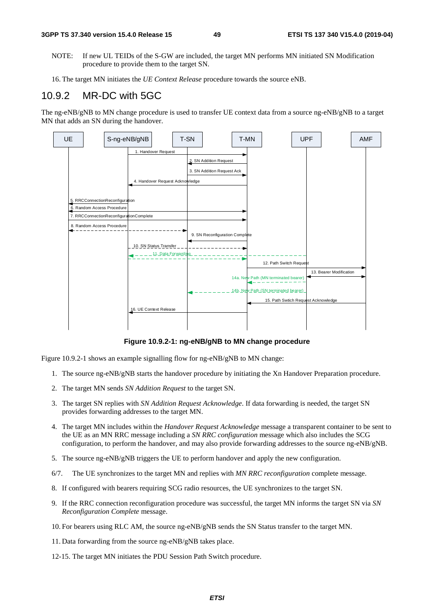- NOTE: If new UL TEIDs of the S-GW are included, the target MN performs MN initiated SN Modification procedure to provide them to the target SN.
- 16. The target MN initiates the *UE Context Release* procedure towards the source eNB.

### 10.9.2 MR-DC with 5GC

The ng-eNB/gNB to MN change procedure is used to transfer UE context data from a source ng-eNB/gNB to a target MN that adds an SN during the handover.



**Figure 10.9.2-1: ng-eNB/gNB to MN change procedure** 

Figure 10.9.2-1 shows an example signalling flow for ng-eNB/gNB to MN change:

- 1. The source ng-eNB/gNB starts the handover procedure by initiating the Xn Handover Preparation procedure.
- 2. The target MN sends *SN Addition Request* to the target SN.
- 3. The target SN replies with *SN Addition Request Acknowledge*. If data forwarding is needed, the target SN provides forwarding addresses to the target MN.
- 4. The target MN includes within the *Handover Request Acknowledge* message a transparent container to be sent to the UE as an MN RRC message including a *SN RRC configuration* message which also includes the SCG configuration, to perform the handover, and may also provide forwarding addresses to the source ng-eNB/gNB.
- 5. The source ng-eNB/gNB triggers the UE to perform handover and apply the new configuration.
- 6/7. The UE synchronizes to the target MN and replies with *MN RRC reconfiguration* complete message.
- 8. If configured with bearers requiring SCG radio resources, the UE synchronizes to the target SN.
- 9. If the RRC connection reconfiguration procedure was successful, the target MN informs the target SN via *SN Reconfiguration Complete* message.
- 10. For bearers using RLC AM, the source ng-eNB/gNB sends the SN Status transfer to the target MN.
- 11. Data forwarding from the source ng-eNB/gNB takes place.
- 12-15. The target MN initiates the PDU Session Path Switch procedure.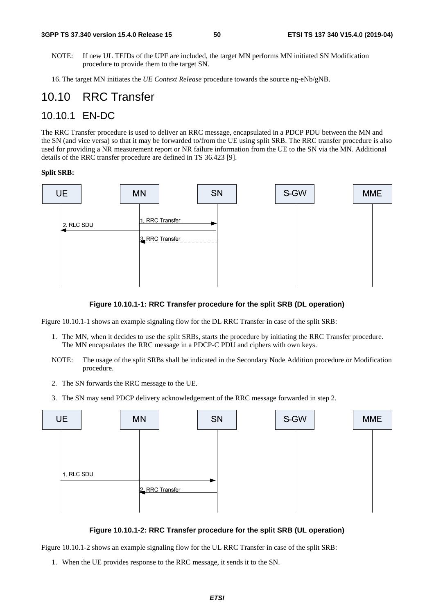NOTE: If new UL TEIDs of the UPF are included, the target MN performs MN initiated SN Modification procedure to provide them to the target SN.

16. The target MN initiates the *UE Context Release* procedure towards the source ng-eNb/gNB.

# 10.10 RRC Transfer

### 10.10.1 EN-DC

The RRC Transfer procedure is used to deliver an RRC message, encapsulated in a PDCP PDU between the MN and the SN (and vice versa) so that it may be forwarded to/from the UE using split SRB. The RRC transfer procedure is also used for providing a NR measurement report or NR failure information from the UE to the SN via the MN. Additional details of the RRC transfer procedure are defined in TS 36.423 [9].

#### **Split SRB:**



#### **Figure 10.10.1-1: RRC Transfer procedure for the split SRB (DL operation)**

Figure 10.10.1-1 shows an example signaling flow for the DL RRC Transfer in case of the split SRB:

- 1. The MN, when it decides to use the split SRBs, starts the procedure by initiating the RRC Transfer procedure. The MN encapsulates the RRC message in a PDCP-C PDU and ciphers with own keys.
- NOTE: The usage of the split SRBs shall be indicated in the Secondary Node Addition procedure or Modification procedure.
- 2. The SN forwards the RRC message to the UE.
- 3. The SN may send PDCP delivery acknowledgement of the RRC message forwarded in step 2.



**Figure 10.10.1-2: RRC Transfer procedure for the split SRB (UL operation)** 

Figure 10.10.1-2 shows an example signaling flow for the UL RRC Transfer in case of the split SRB:

1. When the UE provides response to the RRC message, it sends it to the SN.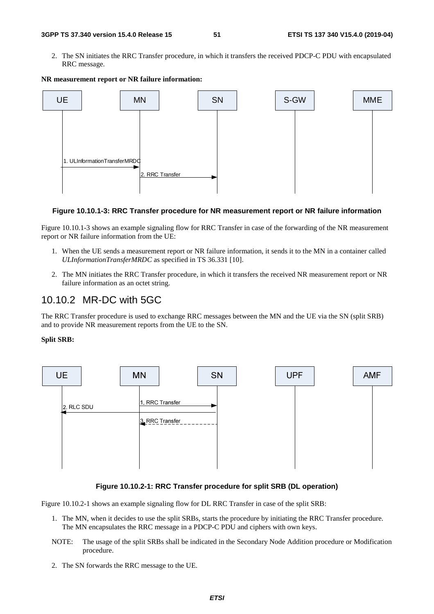2. The SN initiates the RRC Transfer procedure, in which it transfers the received PDCP-C PDU with encapsulated RRC message.



#### **NR measurement report or NR failure information:**

#### **Figure 10.10.1-3: RRC Transfer procedure for NR measurement report or NR failure information**

Figure 10.10.1-3 shows an example signaling flow for RRC Transfer in case of the forwarding of the NR measurement report or NR failure information from the UE:

- 1. When the UE sends a measurement report or NR failure information, it sends it to the MN in a container called *ULInformationTransferMRDC* as specified in TS 36.331 [10].
- 2. The MN initiates the RRC Transfer procedure, in which it transfers the received NR measurement report or NR failure information as an octet string.

### 10.10.2 MR-DC with 5GC

The RRC Transfer procedure is used to exchange RRC messages between the MN and the UE via the SN (split SRB) and to provide NR measurement reports from the UE to the SN.

#### **Split SRB:**



#### **Figure 10.10.2-1: RRC Transfer procedure for split SRB (DL operation)**

Figure 10.10.2-1 shows an example signaling flow for DL RRC Transfer in case of the split SRB:

- 1. The MN, when it decides to use the split SRBs, starts the procedure by initiating the RRC Transfer procedure. The MN encapsulates the RRC message in a PDCP-C PDU and ciphers with own keys.
- NOTE: The usage of the split SRBs shall be indicated in the Secondary Node Addition procedure or Modification procedure.
- 2. The SN forwards the RRC message to the UE.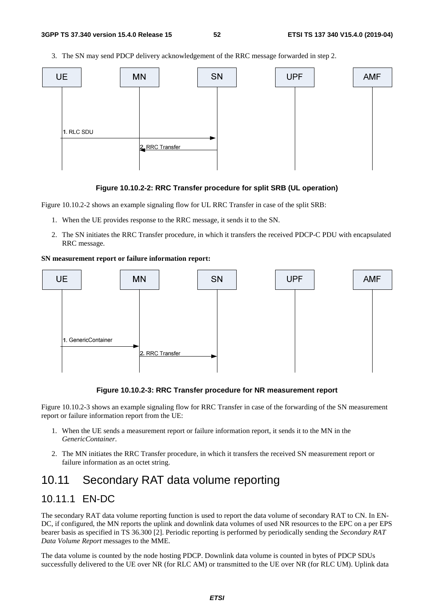3. The SN may send PDCP delivery acknowledgement of the RRC message forwarded in step 2.



#### **Figure 10.10.2-2: RRC Transfer procedure for split SRB (UL operation)**

Figure 10.10.2-2 shows an example signaling flow for UL RRC Transfer in case of the split SRB:

- 1. When the UE provides response to the RRC message, it sends it to the SN.
- 2. The SN initiates the RRC Transfer procedure, in which it transfers the received PDCP-C PDU with encapsulated RRC message.

#### **SN measurement report or failure information report:**



#### **Figure 10.10.2-3: RRC Transfer procedure for NR measurement report**

Figure 10.10.2-3 shows an example signaling flow for RRC Transfer in case of the forwarding of the SN measurement report or failure information report from the UE:

- 1. When the UE sends a measurement report or failure information report, it sends it to the MN in the *GenericContainer*.
- 2. The MN initiates the RRC Transfer procedure, in which it transfers the received SN measurement report or failure information as an octet string.

# 10.11 Secondary RAT data volume reporting

### 10.11.1 EN-DC

The secondary RAT data volume reporting function is used to report the data volume of secondary RAT to CN. In EN-DC, if configured, the MN reports the uplink and downlink data volumes of used NR resources to the EPC on a per EPS bearer basis as specified in TS 36.300 [2]. Periodic reporting is performed by periodically sending the *Secondary RAT Data Volume Report* messages to the MME.

The data volume is counted by the node hosting PDCP. Downlink data volume is counted in bytes of PDCP SDUs successfully delivered to the UE over NR (for RLC AM) or transmitted to the UE over NR (for RLC UM). Uplink data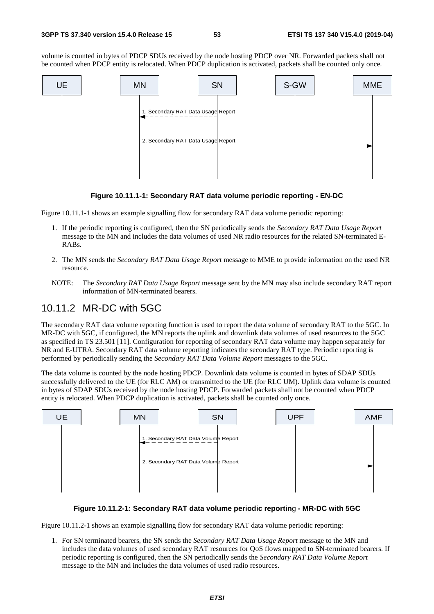volume is counted in bytes of PDCP SDUs received by the node hosting PDCP over NR. Forwarded packets shall not be counted when PDCP entity is relocated. When PDCP duplication is activated, packets shall be counted only once.



#### **Figure 10.11.1-1: Secondary RAT data volume periodic reporting - EN-DC**

Figure 10.11.1-1 shows an example signalling flow for secondary RAT data volume periodic reporting:

- 1. If the periodic reporting is configured, then the SN periodically sends the *Secondary RAT Data Usage Report* message to the MN and includes the data volumes of used NR radio resources for the related SN-terminated E-RABs.
- 2. The MN sends the *Secondary RAT Data Usage Report* message to MME to provide information on the used NR resource.
- NOTE: The *Secondary RAT Data Usage Report* message sent by the MN may also include secondary RAT report information of MN-terminated bearers.

### 10.11.2 MR-DC with 5GC

The secondary RAT data volume reporting function is used to report the data volume of secondary RAT to the 5GC. In MR-DC with 5GC, if configured, the MN reports the uplink and downlink data volumes of used resources to the 5GC as specified in TS 23.501 [11]. Configuration for reporting of secondary RAT data volume may happen separately for NR and E-UTRA. Secondary RAT data volume reporting indicates the secondary RAT type. Periodic reporting is performed by periodically sending the *Secondary RAT Data Volume Report* messages to the 5GC.

The data volume is counted by the node hosting PDCP. Downlink data volume is counted in bytes of SDAP SDUs successfully delivered to the UE (for RLC AM) or transmitted to the UE (for RLC UM). Uplink data volume is counted in bytes of SDAP SDUs received by the node hosting PDCP. Forwarded packets shall not be counted when PDCP entity is relocated. When PDCP duplication is activated, packets shall be counted only once.



#### **Figure 10.11.2-1: Secondary RAT data volume periodic reportin**g **- MR-DC with 5GC**

Figure 10.11.2-1 shows an example signalling flow for secondary RAT data volume periodic reporting:

1. For SN terminated bearers, the SN sends the *Secondary RAT Data Usage Report* message to the MN and includes the data volumes of used secondary RAT resources for QoS flows mapped to SN-terminated bearers. If periodic reporting is configured, then the SN periodically sends the *Secondary RAT Data Volume Report* message to the MN and includes the data volumes of used radio resources.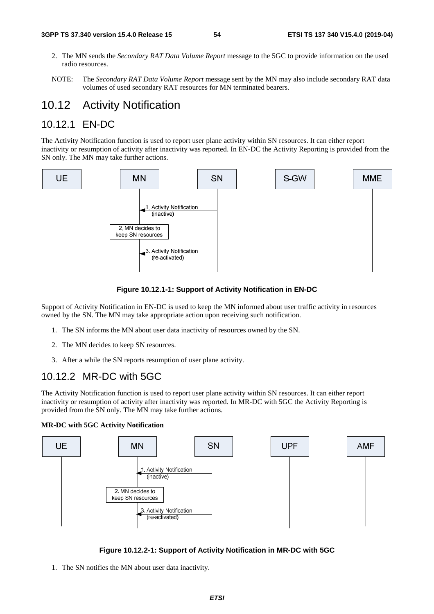- 2. The MN sends the *Secondary RAT Data Volume Report* message to the 5GC to provide information on the used radio resources.
- NOTE: The *Secondary RAT Data Volume Report* message sent by the MN may also include secondary RAT data volumes of used secondary RAT resources for MN terminated bearers.

# 10.12 Activity Notification

### 10.12.1 EN-DC

The Activity Notification function is used to report user plane activity within SN resources. It can either report inactivity or resumption of activity after inactivity was reported. In EN-DC the Activity Reporting is provided from the SN only. The MN may take further actions.





Support of Activity Notification in EN-DC is used to keep the MN informed about user traffic activity in resources owned by the SN. The MN may take appropriate action upon receiving such notification.

- 1. The SN informs the MN about user data inactivity of resources owned by the SN.
- 2. The MN decides to keep SN resources.
- 3. After a while the SN reports resumption of user plane activity.

### 10.12.2 MR-DC with 5GC

The Activity Notification function is used to report user plane activity within SN resources. It can either report inactivity or resumption of activity after inactivity was reported. In MR-DC with 5GC the Activity Reporting is provided from the SN only. The MN may take further actions.

#### **MR-DC with 5GC Activity Notification**





1. The SN notifies the MN about user data inactivity.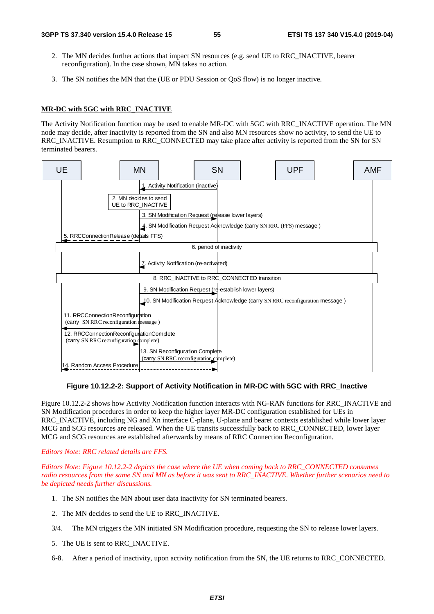- 2. The MN decides further actions that impact SN resources (e.g. send UE to RRC\_INACTIVE, bearer reconfiguration). In the case shown, MN takes no action.
- 3. The SN notifies the MN that the (UE or PDU Session or QoS flow) is no longer inactive.

#### **MR-DC with 5GC with RRC\_INACTIVE**

The Activity Notification function may be used to enable MR-DC with 5GC with RRC\_INACTIVE operation. The MN node may decide, after inactivity is reported from the SN and also MN resources show no activity, to send the UE to RRC\_INACTIVE. Resumption to RRC\_CONNECTED may take place after activity is reported from the SN for SN terminated bearers.



**Figure 10.12.2-2: Support of Activity Notification in MR-DC with 5GC with RRC\_Inactive** 

Figure 10.12.2-2 shows how Activity Notification function interacts with NG-RAN functions for RRC\_INACTIVE and SN Modification procedures in order to keep the higher layer MR-DC configuration established for UEs in RRC\_INACTIVE, including NG and Xn interface C-plane, U-plane and bearer contexts established while lower layer MCG and SCG resources are released. When the UE transits successfully back to RRC\_CONNECTED, lower layer MCG and SCG resources are established afterwards by means of RRC Connection Reconfiguration.

#### *Editors Note: RRC related details are FFS.*

*Editors Note: Figure 10.12.2-2 depicts the case where the UE when coming back to RRC\_CONNECTED consumes radio resources from the same SN and MN as before it was sent to RRC\_INACTIVE. Whether further scenarios need to be depicted needs further discussions.* 

- 1. The SN notifies the MN about user data inactivity for SN terminated bearers.
- 2. The MN decides to send the UE to RRC\_INACTIVE.
- 3/4. The MN triggers the MN initiated SN Modification procedure, requesting the SN to release lower layers.
- 5. The UE is sent to RRC\_INACTIVE.
- 6-8. After a period of inactivity, upon activity notification from the SN, the UE returns to RRC\_CONNECTED.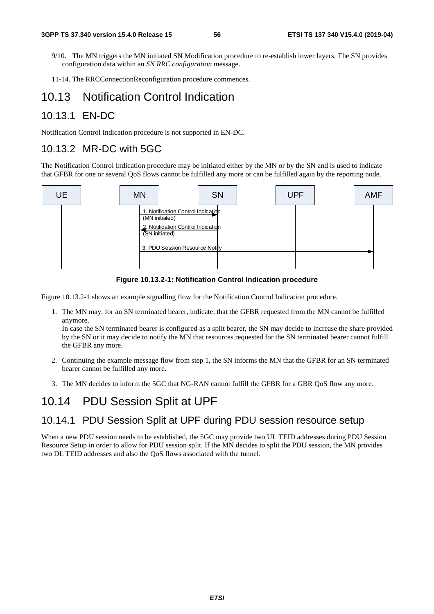- 9/10. The MN triggers the MN initiated SN Modification procedure to re-establish lower layers. The SN provides configuration data within an *SN RRC configuration* message.
- 11-14. The RRCConnectionReconfiguration procedure commences.

# 10.13 Notification Control Indication

### 10.13.1 EN-DC

Notification Control Indication procedure is not supported in EN-DC.

### 10.13.2 MR-DC with 5GC

The Notification Control Indication procedure may be initiated either by the MN or by the SN and is used to indicate that GFBR for one or several QoS flows cannot be fulfilled any more or can be fulfilled again by the reporting node.



#### **Figure 10.13.2-1: Notification Control Indication procedure**

Figure 10.13.2-1 shows an example signalling flow for the Notification Control Indication procedure.

1. The MN may, for an SN terminated bearer, indicate, that the GFBR requested from the MN cannot be fulfilled anymore.

In case the SN terminated bearer is configured as a split bearer, the SN may decide to increase the share provided by the SN or it may decide to notify the MN that resources requested for the SN terminated bearer cannot fulfill the GFBR any more.

- 2. Continuing the example message flow from step 1, the SN informs the MN that the GFBR for an SN terminated bearer cannot be fulfilled any more.
- 3. The MN decides to inform the 5GC that NG-RAN cannot fulfill the GFBR for a GBR QoS flow any more.

# 10.14 PDU Session Split at UPF

### 10.14.1 PDU Session Split at UPF during PDU session resource setup

When a new PDU session needs to be established, the 5GC may provide two UL TEID addresses during PDU Session Resource Setup in order to allow for PDU session split. If the MN decides to split the PDU session, the MN provides two DL TEID addresses and also the QoS flows associated with the tunnel.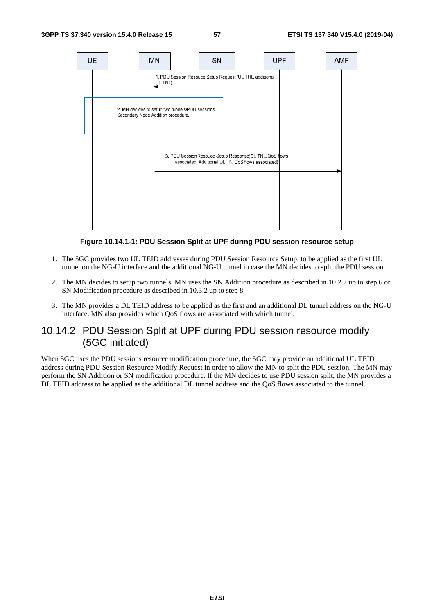

**Figure 10.14.1-1: PDU Session Split at UPF during PDU session resource setup** 

- 1. The 5GC provides two UL TEID addresses during PDU Session Resource Setup, to be applied as the first UL tunnel on the NG-U interface and the additional NG-U tunnel in case the MN decides to split the PDU session.
- 2. The MN decides to setup two tunnels. MN uses the SN Addition procedure as described in 10.2.2 up to step 6 or SN Modification procedure as described in 10.3.2 up to step 8.
- 3. The MN provides a DL TEID address to be applied as the first and an additional DL tunnel address on the NG-U interface. MN also provides which QoS flows are associated with which tunnel.

### 10.14.2 PDU Session Split at UPF during PDU session resource modify (5GC initiated)

When 5GC uses the PDU sessions resource modification procedure, the 5GC may provide an additional UL TEID address during PDU Session Resource Modify Request in order to allow the MN to split the PDU session. The MN may perform the SN Addition or SN modification procedure. If the MN decides to use PDU session split, the MN provides a DL TEID address to be applied as the additional DL tunnel address and the QoS flows associated to the tunnel.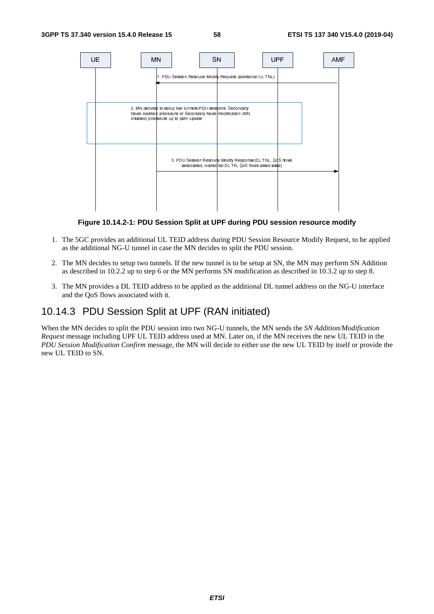

**Figure 10.14.2-1: PDU Session Split at UPF during PDU session resource modify** 

- 1. The 5GC provides an additional UL TEID address during PDU Session Resource Modify Request, to be applied as the additional NG-U tunnel in case the MN decides to split the PDU session.
- 2. The MN decides to setup two tunnels. If the new tunnel is to be setup at SN, the MN may perform SN Addition as described in 10.2.2 up to step 6 or the MN performs SN modification as described in 10.3.2 up to step 8.
- 3. The MN provides a DL TEID address to be applied as the additional DL tunnel address on the NG-U interface and the QoS flows associated with it.

### 10.14.3 PDU Session Split at UPF (RAN initiated)

When the MN decides to split the PDU session into two NG-U tunnels, the MN sends the *SN Addition/Modification Request* message including UPF UL TEID address used at MN. Later on, if the MN receives the new UL TEID in the *PDU Session Modification Confirm* message, the MN will decide to either use the new UL TEID by itself or provide the new UL TEID to SN.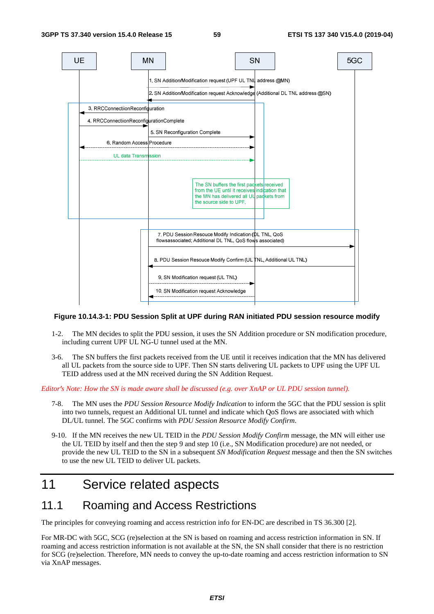

#### **Figure 10.14.3-1: PDU Session Split at UPF during RAN initiated PDU session resource modify**

- 1-2. The MN decides to split the PDU session, it uses the SN Addition procedure or SN modification procedure, including current UPF UL NG-U tunnel used at the MN.
- 3-6. The SN buffers the first packets received from the UE until it receives indication that the MN has delivered all UL packets from the source side to UPF. Then SN starts delivering UL packets to UPF using the UPF UL TEID address used at the MN received during the SN Addition Request.

*Editor's Note: How the SN is made aware shall be discussed (e.g. over XnAP or UL PDU session tunnel).*<br>7-8. The MN uses the *PDU Session Resource Modify Indication* to inform the 5GC that the PDU ses

- 7-8. The MN uses the *PDU Session Resource Modify Indication* to inform the 5GC that the PDU session is split into two tunnels, request an Additional UL tunnel and indicate which QoS flows are associated with which DL/UL tunnel. The 5GC confirms with *PDU Session Resource Modify Confirm*.
- 9-10. If the MN receives the new UL TEID in the *PDU Session Modify Confirm* message, the MN will either use the UL TEID by itself and then the step 9 and step 10 (i.e., SN Modification procedure) are not needed, or provide the new UL TEID to the SN in a subsequent *SN Modification Request* message and then the SN switches to use the new UL TEID to deliver UL packets.

# 11 Service related aspects

# 11.1 Roaming and Access Restrictions

The principles for conveying roaming and access restriction info for EN-DC are described in TS 36.300 [2].

For MR-DC with 5GC, SCG (re)selection at the SN is based on roaming and access restriction information in SN. If roaming and access restriction information is not available at the SN, the SN shall consider that there is no restriction for SCG (re)selection. Therefore, MN needs to convey the up-to-date roaming and access restriction information to SN via XnAP messages.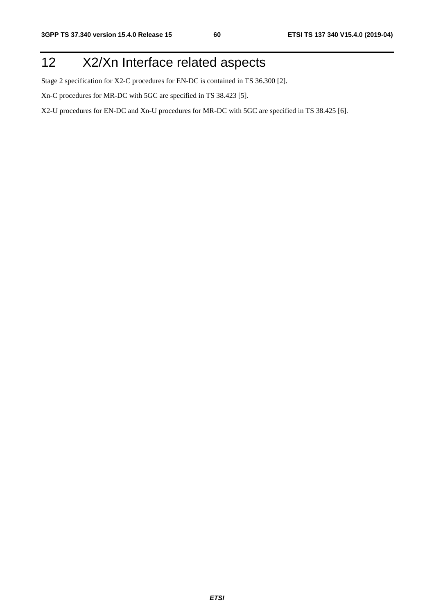# 12 X2/Xn Interface related aspects

Stage 2 specification for X2-C procedures for EN-DC is contained in TS 36.300 [2].

Xn-C procedures for MR-DC with 5GC are specified in TS 38.423 [5].

X2-U procedures for EN-DC and Xn-U procedures for MR-DC with 5GC are specified in TS 38.425 [6].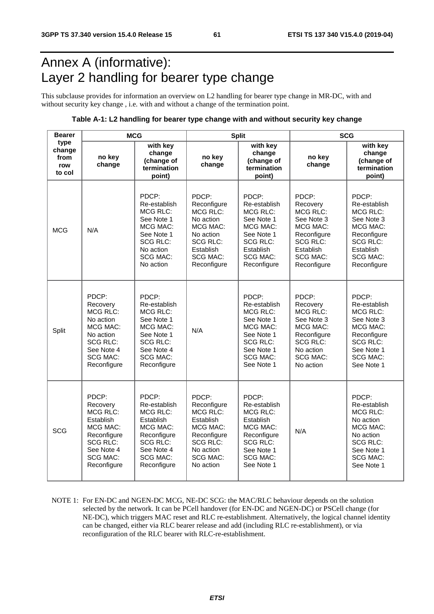# Annex A (informative): Layer 2 handling for bearer type change

This subclause provides for information an overview on L2 handling for bearer type change in MR-DC, with and without security key change , i.e. with and without a change of the termination point.

#### **Table A-1: L2 handling for bearer type change with and without security key change**

| <b>Bearer</b>                           | <b>MCG</b>                                                                                                                                    |                                                                                                                                                  |                                                                                                                                                 | <b>Split</b>                                                                                                                                       | <b>SCG</b>                                                                                                                                      |                                                                                                                                                     |  |
|-----------------------------------------|-----------------------------------------------------------------------------------------------------------------------------------------------|--------------------------------------------------------------------------------------------------------------------------------------------------|-------------------------------------------------------------------------------------------------------------------------------------------------|----------------------------------------------------------------------------------------------------------------------------------------------------|-------------------------------------------------------------------------------------------------------------------------------------------------|-----------------------------------------------------------------------------------------------------------------------------------------------------|--|
| type<br>change<br>from<br>row<br>to col | no key<br>change                                                                                                                              | with key<br>change<br>(change of<br>termination<br>point)                                                                                        | no key<br>change                                                                                                                                | with key<br>change<br>(change of<br>termination<br>point)                                                                                          | no key<br>change                                                                                                                                | with key<br>change<br>(change of<br>termination<br>point)                                                                                           |  |
| <b>MCG</b>                              | N/A                                                                                                                                           | PDCP:<br>Re-establish<br><b>MCG RLC:</b><br>See Note 1<br>MCG MAC:<br>See Note 1<br><b>SCG RLC:</b><br>No action<br><b>SCG MAC:</b><br>No action | PDCP:<br>Reconfigure<br><b>MCG RLC:</b><br>No action<br>MCG MAC:<br>No action<br><b>SCG RLC:</b><br>Establish<br><b>SCG MAC:</b><br>Reconfigure | PDCP:<br>Re-establish<br><b>MCG RLC:</b><br>See Note 1<br>MCG MAC:<br>See Note 1<br><b>SCG RLC:</b><br>Establish<br><b>SCG MAC:</b><br>Reconfigure | PDCP:<br>Recovery<br><b>MCG RLC:</b><br>See Note 3<br>MCG MAC:<br>Reconfigure<br><b>SCG RLC:</b><br>Establish<br><b>SCG MAC:</b><br>Reconfigure | PDCP:<br>Re-establish<br><b>MCG RLC:</b><br>See Note 3<br>MCG MAC:<br>Reconfigure<br><b>SCG RLC:</b><br>Establish<br><b>SCG MAC:</b><br>Reconfigure |  |
| Split                                   | PDCP:<br>Recovery<br><b>MCG RLC:</b><br>No action<br><b>MCG MAC:</b><br>No action<br>SCG RLC:<br>See Note 4<br><b>SCG MAC:</b><br>Reconfigure | PDCP:<br>Re-establish<br>MCG RLC:<br>See Note 1<br>MCG MAC:<br>See Note 1<br>SCG RLC:<br>See Note 4<br><b>SCG MAC:</b><br>Reconfigure            | N/A                                                                                                                                             | PDCP:<br>Re-establish<br><b>MCG RLC:</b><br>See Note 1<br>MCG MAC:<br>See Note 1<br>SCG RLC:<br>See Note 1<br><b>SCG MAC:</b><br>See Note 1        | PDCP:<br>Recovery<br><b>MCG RLC:</b><br>See Note 3<br><b>MCG MAC:</b><br>Reconfigure<br>SCG RLC:<br>No action<br><b>SCG MAC:</b><br>No action   | PDCP:<br>Re-establish<br><b>MCG RLC:</b><br>See Note 3<br>MCG MAC:<br>Reconfigure<br><b>SCG RLC:</b><br>See Note 1<br><b>SCG MAC:</b><br>See Note 1 |  |
| <b>SCG</b>                              | PDCP:<br>Recovery<br>MCG RLC:<br>Establish<br>MCG MAC:<br>Reconfigure<br><b>SCG RLC:</b><br>See Note 4<br>SCG MAC:<br>Reconfigure             | PDCP:<br>Re-establish<br>MCG RLC:<br>Establish<br>MCG MAC:<br>Reconfigure<br><b>SCG RLC:</b><br>See Note 4<br><b>SCG MAC:</b><br>Reconfigure     | PDCP:<br>Reconfigure<br>MCG RLC:<br>Establish<br>MCG MAC:<br>Reconfigure<br><b>SCG RLC:</b><br>No action<br>SCG MAC:<br>No action               | PDCP:<br>Re-establish<br><b>MCG RLC:</b><br>Establish<br>MCG MAC:<br>Reconfigure<br><b>SCG RLC:</b><br>See Note 1<br>SCG MAC:<br>See Note 1        | N/A                                                                                                                                             | PDCP:<br>Re-establish<br><b>MCG RLC:</b><br>No action<br>MCG MAC:<br>No action<br><b>SCG RLC:</b><br>See Note 1<br><b>SCG MAC:</b><br>See Note 1    |  |

NOTE 1: For EN-DC and NGEN-DC MCG, NE-DC SCG: the MAC/RLC behaviour depends on the solution selected by the network. It can be PCell handover (for EN-DC and NGEN-DC) or PSCell change (for NE-DC), which triggers MAC reset and RLC re-establishment. Alternatively, the logical channel identity can be changed, either via RLC bearer release and add (including RLC re-establishment), or via reconfiguration of the RLC bearer with RLC-re-establishment.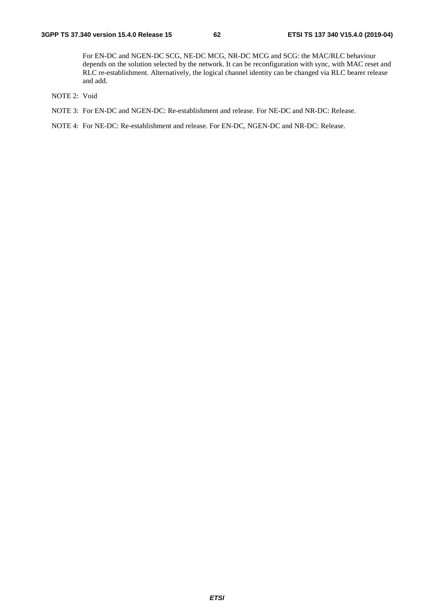For EN-DC and NGEN-DC SCG, NE-DC MCG, NR-DC MCG and SCG: the MAC/RLC behaviour depends on the solution selected by the network. It can be reconfiguration with sync, with MAC reset and RLC re-establishment. Alternatively, the logical channel identity can be changed via RLC bearer release and add.

- NOTE 2: Void
- NOTE 3: For EN-DC and NGEN-DC: Re-establishment and release. For NE-DC and NR-DC: Release.

NOTE 4: For NE-DC: Re-establishment and release. For EN-DC, NGEN-DC and NR-DC: Release.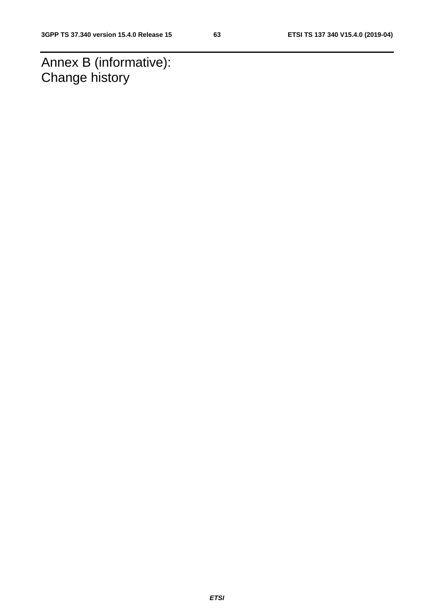Annex B (informative): Change history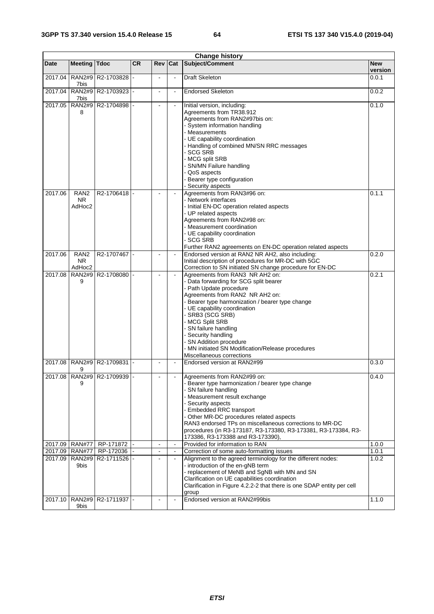| <b>Change history</b> |                                         |                                  |           |                |                |                                                                                                                                                                                                                                                                                                                                                                                                                                 |                  |  |
|-----------------------|-----------------------------------------|----------------------------------|-----------|----------------|----------------|---------------------------------------------------------------------------------------------------------------------------------------------------------------------------------------------------------------------------------------------------------------------------------------------------------------------------------------------------------------------------------------------------------------------------------|------------------|--|
| Date                  | <b>Meeting</b>                          | <b>Tdoc</b>                      | <b>CR</b> | Rev            | Cat            | Subject/Comment                                                                                                                                                                                                                                                                                                                                                                                                                 | <b>New</b>       |  |
| 2017.04               | <b>RAN2#9</b><br>7bis                   | R2-1703828 -                     |           |                | $\blacksquare$ | Draft Skeleton                                                                                                                                                                                                                                                                                                                                                                                                                  | version<br>0.0.1 |  |
| 2017.04               | <b>RAN2#9</b><br>7bis                   | R2-1703923 -                     |           |                | $\blacksquare$ | <b>Endorsed Skeleton</b>                                                                                                                                                                                                                                                                                                                                                                                                        | 0.0.2            |  |
| 2017.05               | <b>RAN2#9</b><br>8                      | R2-1704898                       |           |                |                | Initial version, including:<br>Agreements from TR38.912<br>Agreements from RAN2#97bis on:<br>- System information handling<br>- Measurements<br>- UE capability coordination<br>- Handling of combined MN/SN RRC messages<br><b>SCG SRB</b><br>- MCG split SRB<br>- SN/MN Failure handling<br>QoS aspects<br>Bearer type configuration<br>Security aspects                                                                      | 0.1.0            |  |
| 2017.06               | RAN <sub>2</sub><br><b>NR</b><br>AdHoc2 | R2-1706418                       |           |                | $\blacksquare$ | Agreements from RAN3#96 on:<br>- Network interfaces<br>- Initial EN-DC operation related aspects<br>- UP related aspects<br>Agreements from RAN2#98 on:<br>- Measurement coordination<br>- UE capability coordination<br>- SCG SRB<br>Further RAN2 agreements on EN-DC operation related aspects                                                                                                                                | 0.1.1            |  |
| 2017.06               | RAN <sub>2</sub><br><b>NR</b><br>AdHoc2 | R2-1707467 -                     |           |                | $\blacksquare$ | Endorsed version at RAN2 NR AH2, also including:<br>Initial description of procedures for MR-DC with 5GC<br>Correction to SN initiated SN change procedure for EN-DC                                                                                                                                                                                                                                                            | 0.2.0            |  |
| 2017.08               | <b>RAN2#9</b><br>9                      | R2-1708080 -                     |           |                | $\sim$         | Agreements from RAN3 NR AH2 on:<br>- Data forwarding for SCG split bearer<br>- Path Update procedure<br>Agreements from RAN2 NR AH2 on:<br>- Bearer type harmonization / bearer type change<br>- UE capability coordination<br>- SRB3 (SCG SRB)<br>- MCG Split SRB<br>- SN failure handling<br>- Security handling<br>- SN Addition procedure<br>- MN initiated SN Modification/Release procedures<br>Miscellaneous corrections | 0.2.1            |  |
| 2017.08               | <b>RAN2#9</b><br>9                      | R2-1709831 -                     |           |                |                | Endorsed version at RAN2#99                                                                                                                                                                                                                                                                                                                                                                                                     | 0.3.0            |  |
|                       | 9                                       | 2017.08   RAN2#9   R2-1709939  - |           |                |                | Agreements from RAN2#99 on:<br>Bearer type harmonization / bearer type change<br>- SN failure handling<br>- Measurement result exchange<br>- Security aspects<br>- Embedded RRC transport<br>- Other MR-DC procedures related aspects<br>RAN3 endorsed TPs on miscellaneous corrections to MR-DC<br>procedures (in R3-173187, R3-173380, R3-173381, R3-173384, R3-<br>173386, R3-173388 and R3-173390),                         | 0.4.0            |  |
| 2017.09               | <b>RAN#77</b>                           | RP-171872                        |           |                | $\blacksquare$ | Provided for information to RAN                                                                                                                                                                                                                                                                                                                                                                                                 | 1.0.0            |  |
| 2017.09               | <b>RAN#77</b>                           | RP-172036                        |           | $\blacksquare$ | $\blacksquare$ | Correction of some auto-formatting issues                                                                                                                                                                                                                                                                                                                                                                                       | 1.0.1            |  |
| 2017.09               | <b>RAN2#9</b><br>9bis                   | R2-1711526 -                     |           | $\sim$         | $\blacksquare$ | Alignment to the agreed terminology for the different nodes:<br>- introduction of the en-gNB term<br>- replacement of MeNB and SgNB with MN and SN<br>Clarification on UE capabilities coordination<br>Clarification in Figure 4.2.2-2 that there is one SDAP entity per cell<br>group                                                                                                                                          | 1.0.2            |  |
| 2017.10               | <b>RAN2#9</b><br>9bis                   | R2-1711937 -                     |           |                | $\blacksquare$ | Endorsed version at RAN2#99bis                                                                                                                                                                                                                                                                                                                                                                                                  | 1.1.0            |  |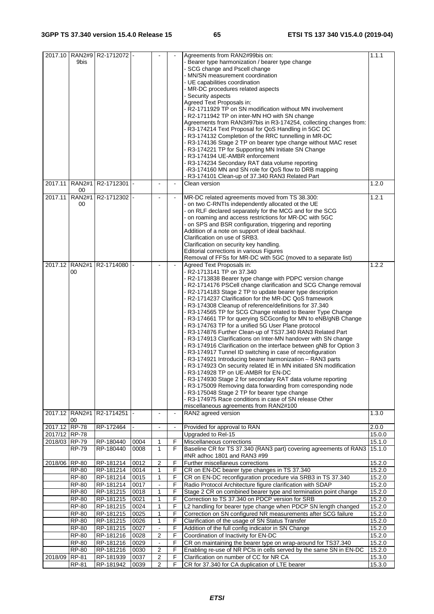| 2017.10                        | 9bis                                | RAN2#9   R2-1712072  - |              |                |                          | Agreements from RAN2#99bis on:<br>- Bearer type harmonization / bearer type change<br>- SCG change and Pscell change<br>- MN/SN measurement coordination<br>- UE capabilities coordination<br>- MR-DC procedures related aspects<br>- Security aspects<br>Agreed Text Proposals in:<br>- R2-1711929 TP on SN modification without MN involvement<br>- R2-1711942 TP on inter-MN HO with SN change<br>Agreements from RAN3#97bis in R3-174254, collecting changes from:<br>- R3-174214 Text Proposal for QoS Handling in 5GC DC<br>- R3-174132 Completion of the RRC tunnelling in MR-DC<br>- R3-174136 Stage 2 TP on bearer type change without MAC reset<br>- R3-174221 TP for Supporting MN Initiate SN Change<br>- R3-174194 UE-AMBR enforcement<br>- R3-174234 Secondary RAT data volume reporting<br>-R3-174160 MN and SN role for QoS flow to DRB mapping<br>- R3-174101 Clean-up of 37.340 RAN3 Related Part                                                                                                                                                                                                                                                                                                                                                                             | 1.1.1            |
|--------------------------------|-------------------------------------|------------------------|--------------|----------------|--------------------------|-------------------------------------------------------------------------------------------------------------------------------------------------------------------------------------------------------------------------------------------------------------------------------------------------------------------------------------------------------------------------------------------------------------------------------------------------------------------------------------------------------------------------------------------------------------------------------------------------------------------------------------------------------------------------------------------------------------------------------------------------------------------------------------------------------------------------------------------------------------------------------------------------------------------------------------------------------------------------------------------------------------------------------------------------------------------------------------------------------------------------------------------------------------------------------------------------------------------------------------------------------------------------------------------------|------------------|
| 2017.11                        | <b>RAN2#1</b><br>00                 | R2-1712301 -           |              |                | $\overline{\phantom{a}}$ | Clean version                                                                                                                                                                                                                                                                                                                                                                                                                                                                                                                                                                                                                                                                                                                                                                                                                                                                                                                                                                                                                                                                                                                                                                                                                                                                                   | 1.2.0            |
| 2017.11                        | <b>RAN2#1</b><br>00                 | R2-1712302 -           |              |                |                          | MR-DC related agreements moved from TS 38.300:<br>- on two C-RNTIs independently allocated ot the UE<br>- on RLF declared separately for the MCG and for the SCG<br>- on roaming and access restrictions for MR-DC with 5GC<br>- on SPS and BSR configuration, triggering and reporting<br>Addition of a note on support of ideal backhaul.<br>Clarification on use of SRB3.<br>Clarification on security key handling.<br>Editorial corrections in various Figures<br>Removal of FFSs for MR-DC with 5GC (moved to a separate list)                                                                                                                                                                                                                                                                                                                                                                                                                                                                                                                                                                                                                                                                                                                                                            | 1.2.1            |
|                                | 2017.12 RAN2#1<br>00                | R2-1714080             |              |                |                          | Agreed Text Proposals in:<br>- R2-1713141 TP on 37.340<br>- R2-1713838 Bearer type change with PDPC version change<br>- R2-1714176 PSCell change clarification and SCG Change removal<br>- R2-1714183 Stage 2 TP to update bearer type description<br>- R2-1714237 Clarification for the MR-DC QoS framework<br>- R3-174308 Cleanup of reference/definitions for 37.340<br>- R3-174565 TP for SCG Change related to Bearer Type Change<br>- R3-174661 TP for querying SCGconfig for MN to eNB/gNB Change<br>- R3-174763 TP for a unified 5G User Plane protocol<br>- R3-174876 Further Clean-up of TS37.340 RAN3 Related Part<br>- R3-174913 Clarifications on Inter-MN handover with SN change<br>- R3-174916 Clarification on the interface between gNB for Option 3<br>- R3-174917 Tunnel ID switching in case of reconfiguration<br>- R3-174921 Introducing bearer harmonization - RAN3 parts<br>R3-174923 On security related IE in MN initiated SN modification<br>R3-174928 TP on UE-AMBR for EN-DC<br>- R3-174930 Stage 2 for secondary RAT data volume reporting<br>- R3-175009 Removing data forwarding from corresponding node<br>- R3-175048 Stage 2 TP for bearer type change<br>- R3-174975 Race conditions in case of SN release Other<br>miscellaneous agreements from RAN2#100 | 1.2.2            |
|                                | 2017.12 RAN2#1<br>00                | R2-1714251             |              |                | $\blacksquare$           | RAN2 agreed version                                                                                                                                                                                                                                                                                                                                                                                                                                                                                                                                                                                                                                                                                                                                                                                                                                                                                                                                                                                                                                                                                                                                                                                                                                                                             | 1.3.0            |
| 2017.12                        | <b>RP-78</b>                        | RP-172464              |              | $\blacksquare$ | $\blacksquare$           | Provided for approval to RAN                                                                                                                                                                                                                                                                                                                                                                                                                                                                                                                                                                                                                                                                                                                                                                                                                                                                                                                                                                                                                                                                                                                                                                                                                                                                    | 2.0.0            |
| 2017/12 RP-78<br>2018/03 RP-79 |                                     |                        | 0004         | 1              | F                        | Upgraded to Rel-15                                                                                                                                                                                                                                                                                                                                                                                                                                                                                                                                                                                                                                                                                                                                                                                                                                                                                                                                                                                                                                                                                                                                                                                                                                                                              | 15.0.0           |
|                                | <b>RP-79</b>                        | RP-180440<br>RP-180440 | 0008         | 1              | F                        | Miscellaneous corrections<br>Baseline CR for TS 37.340 (RAN3 part) covering agreements of RAN3<br>#NR adhoc 1801 and RAN3 #99                                                                                                                                                                                                                                                                                                                                                                                                                                                                                                                                                                                                                                                                                                                                                                                                                                                                                                                                                                                                                                                                                                                                                                   | 15.1.0<br>15.1.0 |
| 2018/06 RP-80                  |                                     | RP-181214              | 0012         | $\overline{c}$ | F                        | Further miscellaneus corrections                                                                                                                                                                                                                                                                                                                                                                                                                                                                                                                                                                                                                                                                                                                                                                                                                                                                                                                                                                                                                                                                                                                                                                                                                                                                | 15.2.0           |
|                                | <b>RP-80</b>                        | RP-181214              | 0014         | 1              | F                        | CR on EN-DC bearer type changes in TS 37.340                                                                                                                                                                                                                                                                                                                                                                                                                                                                                                                                                                                                                                                                                                                                                                                                                                                                                                                                                                                                                                                                                                                                                                                                                                                    | 15.2.0           |
|                                | RP-80                               | RP-181214              | 0015         | $\mathbf{1}$   | F                        | CR on EN-DC reconfiguration procedure via SRB3 in TS 37.340                                                                                                                                                                                                                                                                                                                                                                                                                                                                                                                                                                                                                                                                                                                                                                                                                                                                                                                                                                                                                                                                                                                                                                                                                                     | 15.2.0           |
|                                | <b>RP-80</b>                        | RP-181214              | 0017         | 1              | F<br>F                   | Radio Protocol Architecture figure clarification with SDAP                                                                                                                                                                                                                                                                                                                                                                                                                                                                                                                                                                                                                                                                                                                                                                                                                                                                                                                                                                                                                                                                                                                                                                                                                                      | 15.2.0           |
|                                | <b>RP-80</b><br>$\overline{RP}$ -80 | RP-181215<br>RP-181215 | 0018<br>0021 | $\mathbf{1}$   | F                        | Stage 2 CR on combined bearer type and termination point change<br>Correction to TS 37.340 on PDCP version for SRB                                                                                                                                                                                                                                                                                                                                                                                                                                                                                                                                                                                                                                                                                                                                                                                                                                                                                                                                                                                                                                                                                                                                                                              | 15.2.0<br>15.2.0 |
|                                | <b>RP-80</b>                        | RP-181215              | 0024         | 1              | F                        | L2 handling for bearer type change when PDCP SN length changed                                                                                                                                                                                                                                                                                                                                                                                                                                                                                                                                                                                                                                                                                                                                                                                                                                                                                                                                                                                                                                                                                                                                                                                                                                  | 15.2.0           |
|                                | <b>RP-80</b>                        | RP-181215              | 0025         | 1              | F                        | Correction on SN configured NR measurements after SCG failure                                                                                                                                                                                                                                                                                                                                                                                                                                                                                                                                                                                                                                                                                                                                                                                                                                                                                                                                                                                                                                                                                                                                                                                                                                   | 15.2.0           |
|                                | $RP-80$                             | RP-181215              | 0026         | $\mathbf{1}$   | F                        | Clarification of the usage of SN Status Transfer                                                                                                                                                                                                                                                                                                                                                                                                                                                                                                                                                                                                                                                                                                                                                                                                                                                                                                                                                                                                                                                                                                                                                                                                                                                | 15.2.0           |
|                                | <b>RP-80</b>                        | RP-181215              | 0027         | $\blacksquare$ | F                        | Addition of the full config indicator in SN Change                                                                                                                                                                                                                                                                                                                                                                                                                                                                                                                                                                                                                                                                                                                                                                                                                                                                                                                                                                                                                                                                                                                                                                                                                                              | 15.2.0           |
|                                | <b>RP-80</b>                        | RP-181216              | 0028         | $\overline{2}$ | F                        | Coordination of Inactivity for EN-DC                                                                                                                                                                                                                                                                                                                                                                                                                                                                                                                                                                                                                                                                                                                                                                                                                                                                                                                                                                                                                                                                                                                                                                                                                                                            | 15.2.0           |
|                                | $RP-80$                             | RP-181216              | 0029         | $\blacksquare$ | F                        | CR on maintaining the bearer type on wrap-around for TS37.340                                                                                                                                                                                                                                                                                                                                                                                                                                                                                                                                                                                                                                                                                                                                                                                                                                                                                                                                                                                                                                                                                                                                                                                                                                   | 15.2.0           |
|                                | RP-80                               | RP-181216              | 0030         | 2              | F                        | Enabling re-use of NR PCIs in cells served by the same SN in EN-DC                                                                                                                                                                                                                                                                                                                                                                                                                                                                                                                                                                                                                                                                                                                                                                                                                                                                                                                                                                                                                                                                                                                                                                                                                              | 15.2.0           |
| 2018/09                        | RP-81                               | RP-181939              | 0037         | $\overline{2}$ | F                        | Clarification on number of CC for NR CA                                                                                                                                                                                                                                                                                                                                                                                                                                                                                                                                                                                                                                                                                                                                                                                                                                                                                                                                                                                                                                                                                                                                                                                                                                                         | 15.3.0           |
|                                | RP-81                               | RP-181942              | 0039         | $\overline{2}$ | F                        | CR for 37.340 for CA duplication of LTE bearer                                                                                                                                                                                                                                                                                                                                                                                                                                                                                                                                                                                                                                                                                                                                                                                                                                                                                                                                                                                                                                                                                                                                                                                                                                                  | 15.3.0           |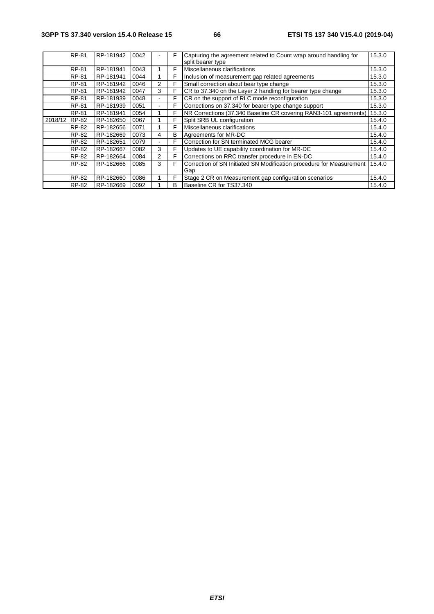|               | RP-81        | RP-181942 | 0042 |                          | F | Capturing the agreement related to Count wrap around handling for<br>split bearer type | 15.3.0 |
|---------------|--------------|-----------|------|--------------------------|---|----------------------------------------------------------------------------------------|--------|
|               | <b>RP-81</b> | RP-181941 | 0043 |                          | F | Miscellaneous clarifications                                                           | 15.3.0 |
|               | <b>RP-81</b> | RP-181941 | 0044 |                          | F | Inclusion of measurement gap related agreements                                        | 15.3.0 |
|               | RP-81        | RP-181942 | 0046 | 2                        | F | Small correction about bear type change                                                | 15.3.0 |
|               | <b>RP-81</b> | RP-181942 | 0047 | 3                        | F | CR to 37.340 on the Layer 2 handling for bearer type change                            | 15.3.0 |
|               | <b>RP-81</b> | RP-181939 | 0048 |                          | F | CR on the support of RLC mode reconfiguration                                          | 15.3.0 |
|               | RP-81        | RP-181939 | 0051 | ۰                        | F | Corrections on 37.340 for bearer type change support                                   | 15.3.0 |
|               | RP-81        | RP-181941 | 0054 |                          | F | NR Corrections (37.340 Baseline CR covering RAN3-101 agreements)                       | 15.3.0 |
| 2018/12 RP-82 |              | RP-182650 | 0067 |                          | F | Split SRB UL configuration                                                             | 15.4.0 |
|               | RP-82        | RP-182656 | 0071 |                          | F | Miscellaneous clarifications                                                           | 15.4.0 |
|               | RP-82        | RP-182669 | 0073 | 4                        | в | Agreements for MR-DC                                                                   | 15.4.0 |
|               | RP-82        | RP-182651 | 0079 | $\overline{\phantom{a}}$ | F | Correction for SN terminated MCG bearer                                                | 15.4.0 |
|               | RP-82        | RP-182667 | 0082 | 3                        | F | Updates to UE capability coordination for MR-DC                                        | 15.4.0 |
|               | RP-82        | RP-182664 | 0084 | 2                        | F | Corrections on RRC transfer procedure in EN-DC                                         | 15.4.0 |
|               | RP-82        | RP-182666 | 0085 | 3                        | F | Correction of SN Initiated SN Modification procedure for Measurement                   | 15.4.0 |
|               |              |           |      |                          |   | Gap                                                                                    |        |
|               | RP-82        | RP-182660 | 0086 |                          | F | Stage 2 CR on Measurement gap configuration scenarios                                  | 15.4.0 |
|               | RP-82        | RP-182669 | 0092 |                          | в | Baseline CR for TS37.340                                                               | 15.4.0 |